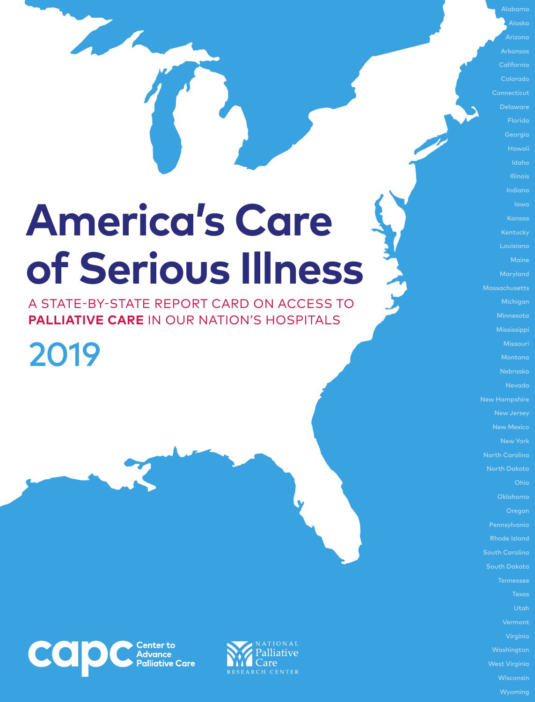# **America's Care of Serious Illness**

A STATE-BY-STATE REPORT CARD ON ACCESS TO **PALLIATIVE CARE** IN OUR NATION'S HOSPITALS

2019





Alabama Alaska Arizona Arkansas California Colorado **Connecticut** Delaware Florida Georgia Idaho Illinois Indiana Iowa Kansas Kentucky Louisiana Maryland Massachusetts Michigan Minnesota Missouri Nebraska Nevada New Jersey New York North Dakota Ohio Oklahoma Oregon Rhode Island South Carolina South Dakota **Tennessee** Utah Virginia Washington West Virginia

> **Wisconsin** Wyoming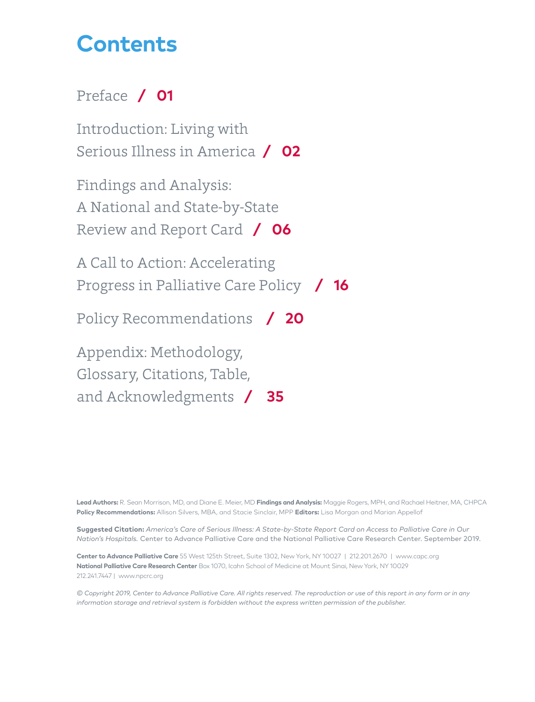## **Contents**

## [Preface](#page-2-0) **/ 01**

[Introduction: Living with](#page-3-0)  [Serious Illness in America](#page-3-0) **/ 02**

[Findings and Analysis:](#page-7-0)  [A National and State-by-State](#page-7-0)  [Review and Report Card](#page-7-0) **/ 06**

[A Call to Action: Accelerating](#page-17-0)  [Progress in Palliative Care Policy](#page-17-0) **/ 16**

[Policy Recommendations](#page-21-0) **/ 20**

[Appendix: Methodology,](#page-36-0) 

[Glossary, Citations, Table,](#page-36-0) 

[and Acknowledgments](#page-36-0) **/ 35**

**Lead Authors:** R. Sean Morrison, MD, and Diane E. Meier, MD **Findings and Analysis:** Maggie Rogers, MPH, and Rachael Heitner, MA, CHPCA **Policy Recommendations:** Allison Silvers, MBA, and Stacie Sinclair, MPP **Editors:** Lisa Morgan and Marian Appellof

**Suggested Citation:** *America's Care of Serious Illness: A State-by-State Report Card on Access to Palliative Care in Our Nation's Hospitals.* Center to Advance Palliative Care and the National Palliative Care Research Center. September 2019.

**Center to Advance Palliative Care** 55 West 125th Street, Suite 1302, New York, NY 10027 | 212.201.2670 | www.capc.org **National Palliative Care Research Center** Box 1070, Icahn School of Medicine at Mount Sinai, New York, NY 10029 212.241.7447 | www.npcrc.org

*© Copyright 2019, Center to Advance Palliative Care. All rights reserved. The reproduction or use of this report in any form or in any information storage and retrieval system is forbidden without the express written permission of the publisher.*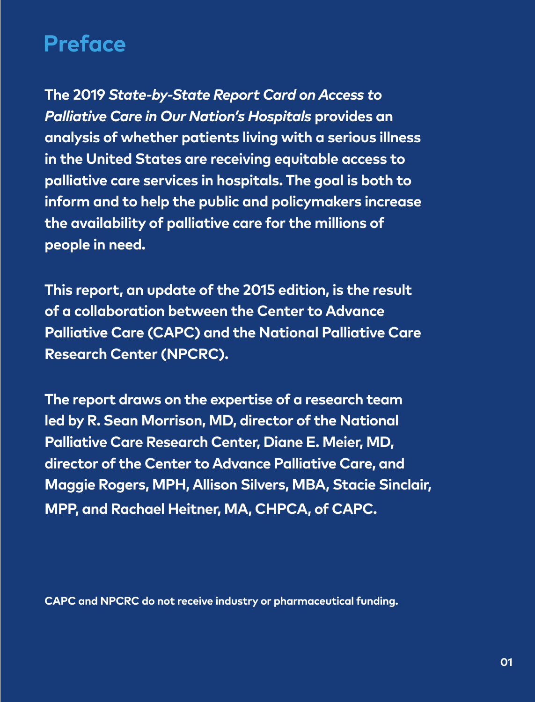## <span id="page-2-0"></span>**Preface**

**The 2019** *State-by-State Report Card on Access to Palliative Care in Our Nation's Hospitals* **provides an analysis of whether patients living with a serious illness in the United States are receiving equitable access to palliative care services in hospitals. The goal is both to inform and to help the public and policymakers increase the availability of palliative care for the millions of people in need.**

**This report, an update of the 2015 edition, is the result of a collaboration between the Center to Advance Palliative Care (CAPC) and the National Palliative Care Research Center (NPCRC).**

**The report draws on the expertise of a research team led by R. Sean Morrison, MD, director of the National Palliative Care Research Center, Diane E. Meier, MD, director of the Center to Advance Palliative Care, and Maggie Rogers, MPH, Allison Silvers, MBA, Stacie Sinclair, MPP, and Rachael Heitner, MA, CHPCA, of CAPC.**

**CAPC and NPCRC do not receive industry or pharmaceutical funding.**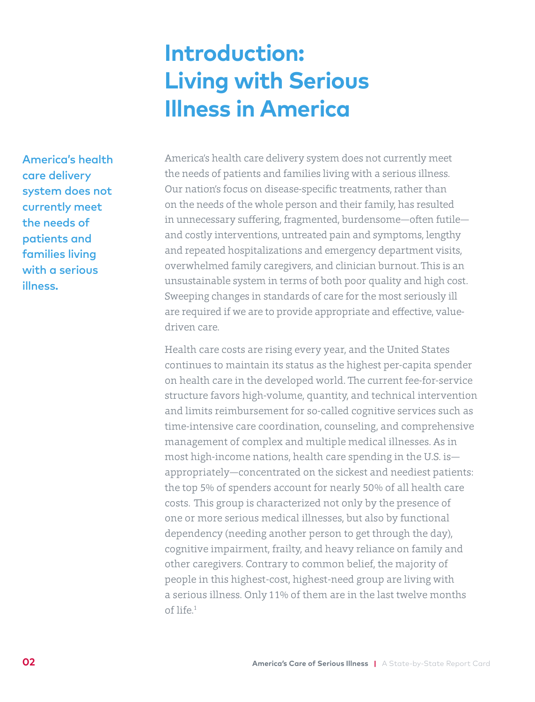## **Introduction: Living with Serious Illness in America**

<span id="page-3-0"></span>America's health care delivery system does not currently meet the needs of patients and families living with a serious illness.

America's health care delivery system does not currently meet the needs of patients and families living with a serious illness. Our nation's focus on disease-specific treatments, rather than on the needs of the whole person and their family, has resulted in unnecessary suffering, fragmented, burdensome—often futile and costly interventions, untreated pain and symptoms, lengthy and repeated hospitalizations and emergency department visits, overwhelmed family caregivers, and clinician burnout. This is an unsustainable system in terms of both poor quality and high cost. Sweeping changes in standards of care for the most seriously ill are required if we are to provide appropriate and effective, valuedriven care.

Health care costs are rising every year, and the United States continues to maintain its status as the highest per-capita spender on health care in the developed world. The current fee-for-service structure favors high-volume, quantity, and technical intervention and limits reimbursement for so-called cognitive services such as time-intensive care coordination, counseling, and comprehensive management of complex and multiple medical illnesses. As in most high-income nations, health care spending in the U.S. is appropriately—concentrated on the sickest and neediest patients: the top 5% of spenders account for nearly 50% of all health care costs. This group is characterized not only by the presence of one or more serious medical illnesses, but also by functional dependency (needing another person to get through the day), cognitive impairment, frailty, and heavy reliance on family and other caregivers. Contrary to common belief, the majority of people in this highest-cost, highest-need group are living with a serious illness. Only 11% of them are in the last twelve months of life.1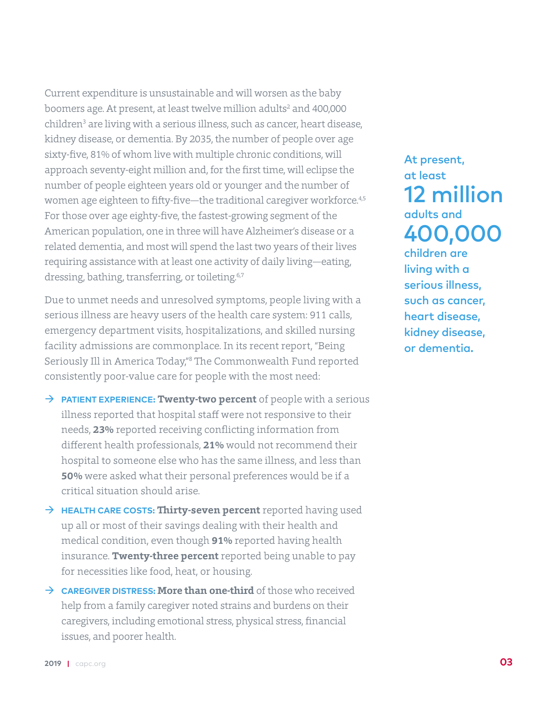Current expenditure is unsustainable and will worsen as the baby boomers age. At present, at least twelve million adults<sup>2</sup> and 400,000 children<sup>3</sup> are living with a serious illness, such as cancer, heart disease, kidney disease, or dementia. By 2035, the number of people over age sixty-five, 81% of whom live with multiple chronic conditions, will approach seventy-eight million and, for the first time, will eclipse the number of people eighteen years old or younger and the number of women age eighteen to fifty-five—the traditional caregiver workforce.<sup>4,5</sup> For those over age eighty-five, the fastest-growing segment of the American population, one in three will have Alzheimer's disease or a related dementia, and most will spend the last two years of their lives requiring assistance with at least one activity of daily living—eating, dressing, bathing, transferring, or toileting.<sup>6,7</sup>

Due to unmet needs and unresolved symptoms, people living with a serious illness are heavy users of the health care system: 911 calls, emergency department visits, hospitalizations, and skilled nursing facility admissions are commonplace. In its recent report, "Being Seriously Ill in America Today,"8 The Commonwealth Fund reported consistently poor-value care for people with the most need:

- → **PATIENT EXPERIENCE: Twenty-two percent** of people with a serious illness reported that hospital staff were not responsive to their needs, **23%** reported receiving conflicting information from different health professionals, **21%** would not recommend their hospital to someone else who has the same illness, and less than **50%** were asked what their personal preferences would be if a critical situation should arise.
- $\rightarrow$  **HEALTH CARE COSTS: Thirty-seven percent** reported having used up all or most of their savings dealing with their health and medical condition, even though **91%** reported having health insurance. **Twenty-three percent** reported being unable to pay for necessities like food, heat, or housing.
- Æ **CAREGIVER DISTRESS: More than one-third** of those who received help from a family caregiver noted strains and burdens on their caregivers, including emotional stress, physical stress, financial issues, and poorer health.

At present, at least 12 million adults and 400,000 children are living with a serious illness, such as cancer, heart disease, kidney disease, or dementia.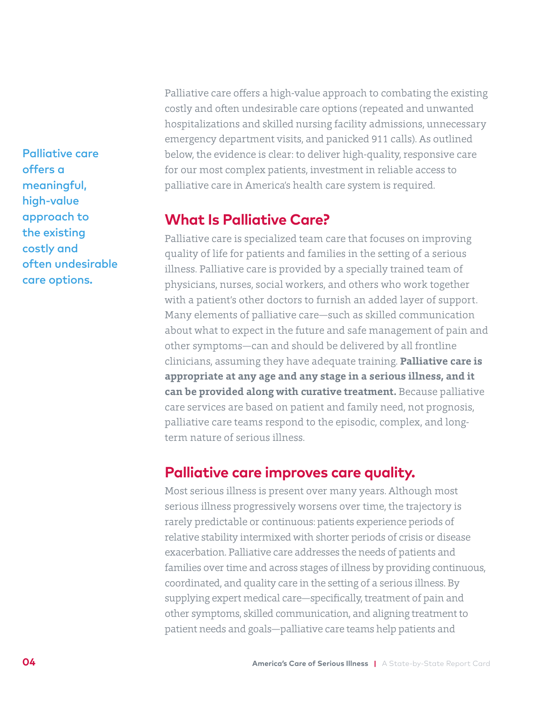Palliative care offers a meaningful, high-value approach to the existing costly and often undesirable care options.

Palliative care offers a high-value approach to combating the existing costly and often undesirable care options (repeated and unwanted hospitalizations and skilled nursing facility admissions, unnecessary emergency department visits, and panicked 911 calls). As outlined below, the evidence is clear: to deliver high-quality, responsive care for our most complex patients, investment in reliable access to palliative care in America's health care system is required.

## **What Is Palliative Care?**

Palliative care is specialized team care that focuses on improving quality of life for patients and families in the setting of a serious illness. Palliative care is provided by a specially trained team of physicians, nurses, social workers, and others who work together with a patient's other doctors to furnish an added layer of support. Many elements of palliative care—such as skilled communication about what to expect in the future and safe management of pain and other symptoms—can and should be delivered by all frontline clinicians, assuming they have adequate training. **Palliative care is appropriate at any age and any stage in a serious illness, and it can be provided along with curative treatment.** Because palliative care services are based on patient and family need, not prognosis, palliative care teams respond to the episodic, complex, and longterm nature of serious illness.

## **Palliative care improves care quality.**

Most serious illness is present over many years. Although most serious illness progressively worsens over time, the trajectory is rarely predictable or continuous: patients experience periods of relative stability intermixed with shorter periods of crisis or disease exacerbation. Palliative care addresses the needs of patients and families over time and across stages of illness by providing continuous, coordinated, and quality care in the setting of a serious illness. By supplying expert medical care—specifically, treatment of pain and other symptoms, skilled communication, and aligning treatment to patient needs and goals—palliative care teams help patients and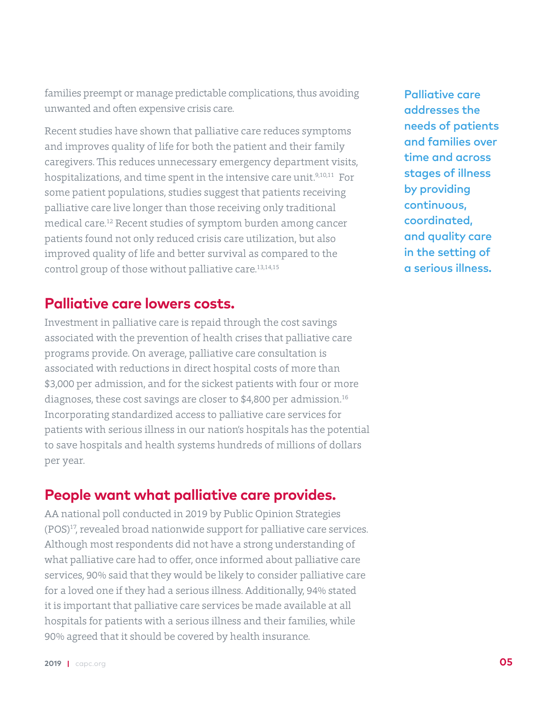families preempt or manage predictable complications, thus avoiding unwanted and often expensive crisis care.

Recent studies have shown that palliative care reduces symptoms and improves quality of life for both the patient and their family caregivers. This reduces unnecessary emergency department visits, hospitalizations, and time spent in the intensive care unit.<sup>9,10,11</sup> For some patient populations, studies suggest that patients receiving palliative care live longer than those receiving only traditional medical care.12 Recent studies of symptom burden among cancer patients found not only reduced crisis care utilization, but also improved quality of life and better survival as compared to the control group of those without palliative care.<sup>13,14,15</sup>

## **Palliative care lowers costs.**

Investment in palliative care is repaid through the cost savings associated with the prevention of health crises that palliative care programs provide. On average, palliative care consultation is associated with reductions in direct hospital costs of more than \$3,000 per admission, and for the sickest patients with four or more diagnoses, these cost savings are closer to \$4,800 per admission.16 Incorporating standardized access to palliative care services for patients with serious illness in our nation's hospitals has the potential to save hospitals and health systems hundreds of millions of dollars per year.

## **People want what palliative care provides.**

AA national poll conducted in 2019 by Public Opinion Strategies (POS)17, revealed broad nationwide support for palliative care services. Although most respondents did not have a strong understanding of what palliative care had to offer, once informed about palliative care services, 90% said that they would be likely to consider palliative care for a loved one if they had a serious illness. Additionally, 94% stated it is important that palliative care services be made available at all hospitals for patients with a serious illness and their families, while 90% agreed that it should be covered by health insurance.

Palliative care addresses the needs of patients and families over time and across stages of illness by providing continuous, coordinated, and quality care in the setting of a serious illness.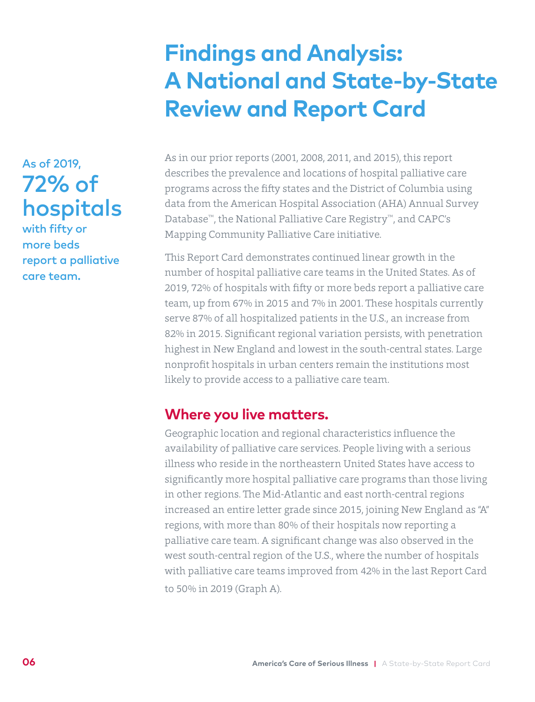## **Findings and Analysis: A National and State-by-State Review and Report Card**

<span id="page-7-0"></span>As of 2019, 72% of hospitals

with fifty or more beds report a palliative care team.

As in our prior reports (2001, 2008, 2011, and 2015), this report describes the prevalence and locations of hospital palliative care programs across the fifty states and the District of Columbia using data from the American Hospital Association (AHA) Annual Survey Database™, the National Palliative Care Registry™, and CAPC's Mapping Community Palliative Care initiative.

This Report Card demonstrates continued linear growth in the number of hospital palliative care teams in the United States. As of 2019, 72% of hospitals with fifty or more beds report a palliative care team, up from 67% in 2015 and 7% in 2001. These hospitals currently serve 87% of all hospitalized patients in the U.S., an increase from 82% in 2015. Significant regional variation persists, with penetration highest in New England and lowest in the south-central states. Large nonprofit hospitals in urban centers remain the institutions most likely to provide access to a palliative care team.

## **Where you live matters.**

Geographic location and regional characteristics influence the availability of palliative care services. People living with a serious illness who reside in the northeastern United States have access to significantly more hospital palliative care programs than those living in other regions. The Mid-Atlantic and east north-central regions increased an entire letter grade since 2015, joining New England as "A" regions, with more than 80% of their hospitals now reporting a palliative care team. A significant change was also observed in the west south-central region of the U.S., where the number of hospitals with palliative care teams improved from 42% in the last Report Card to 50% in 2019 (Graph A).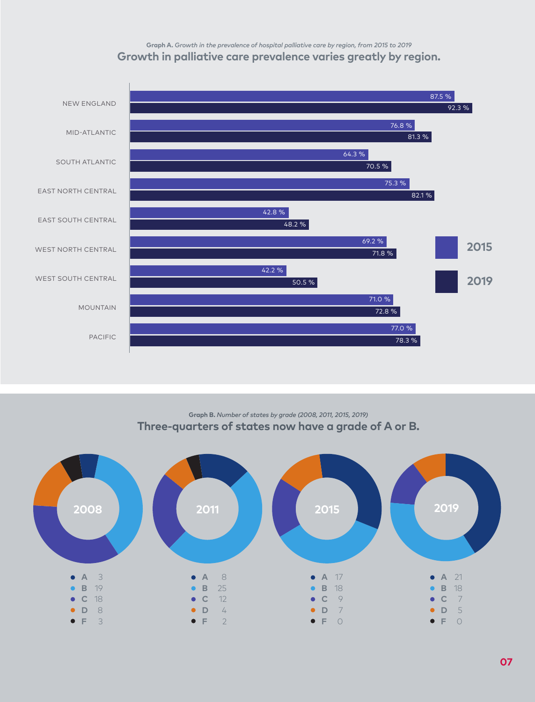## **Graph A.** *Growth in the prevalence of hospital palliative care by region, from 2015 to 2019* **Growth in palliative care prevalence varies greatly by region.**



**Graph B.** *Number of states by grade (2008, 2011, 2015, 2019)* **Three-quarters of states now have a grade of A or B.**



**2019 |** [capc.org](http://www.capc.org) **07**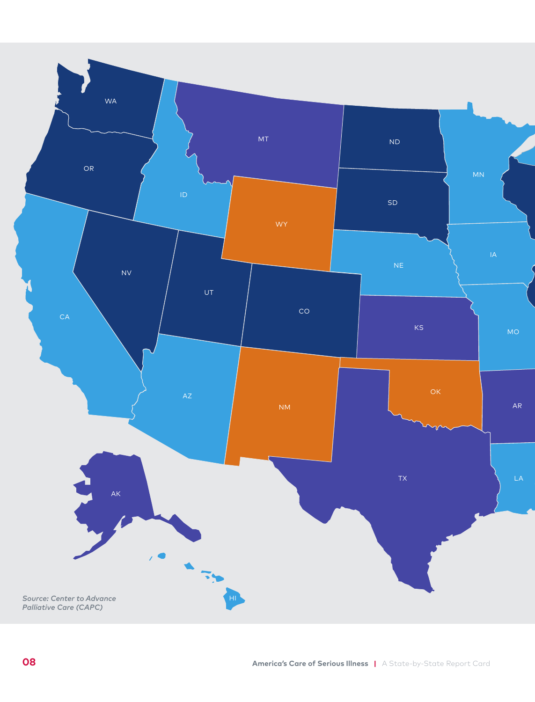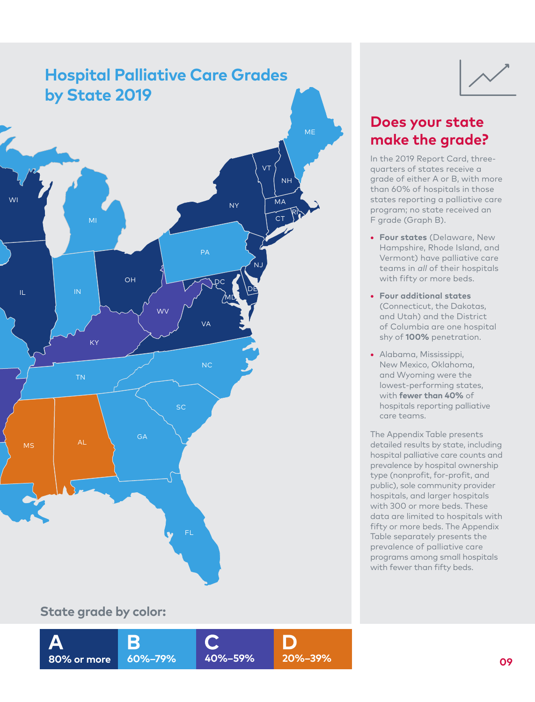

## **State grade by color:**



## **Does your state make the grade?**

In the 2019 Report Card, threequarters of states receive a grade of either A or B, with more than 60% of hospitals in those states reporting a palliative care program; no state received an F grade (Graph B).

- **• Four states** (Delaware, New Hampshire, Rhode Island, and Vermont) have palliative care teams in *all* of their hospitals with fifty or more beds.
- **• Four additional states**  (Connecticut, the Dakotas, and Utah) and the District of Columbia are one hospital shy of **100%** penetration.
- **•** Alabama, Mississippi, New Mexico, Oklahoma, and Wyoming were the lowest-performing states, with **fewer than 40%** of hospitals reporting palliative care teams.

The Appendix Table presents detailed results by state, including hospital palliative care counts and prevalence by hospital ownership type (nonprofit, for-profit, and public), sole community provider hospitals, and larger hospitals with 300 or more beds. These data are limited to hospitals with fifty or more beds. The Appendix Table separately presents the prevalence of palliative care programs among small hospitals with fewer than fifty beds.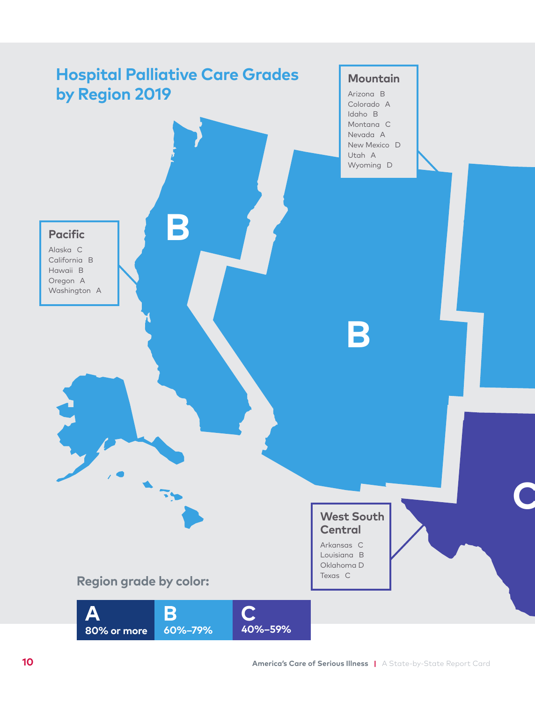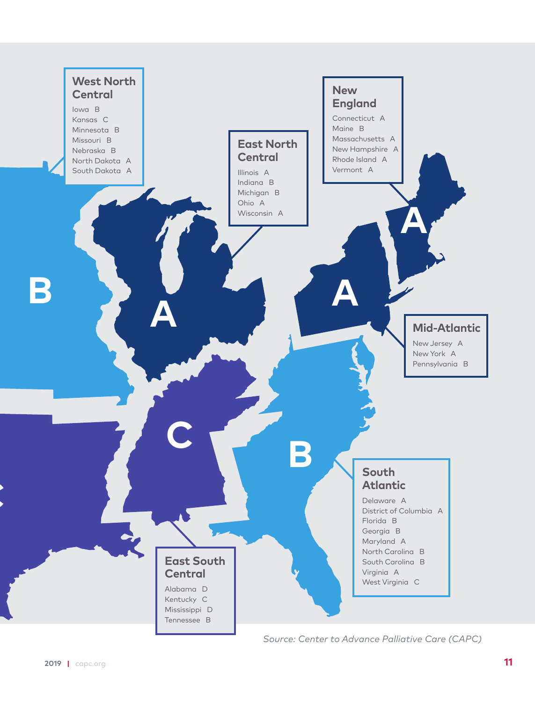

*Source: Center to Advance Palliative Care (CAPC)*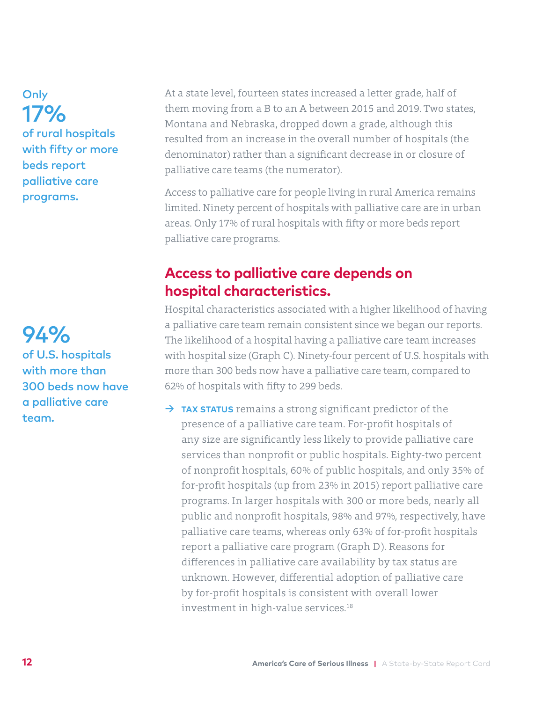**Only** 17% of rural hospitals with fifty or more beds report palliative care programs.

94% of U.S. hospitals with more than 300 beds now have a palliative care team.

At a state level, fourteen states increased a letter grade, half of them moving from a B to an A between 2015 and 2019. Two states, Montana and Nebraska, dropped down a grade, although this resulted from an increase in the overall number of hospitals (the denominator) rather than a significant decrease in or closure of palliative care teams (the numerator).

Access to palliative care for people living in rural America remains limited. Ninety percent of hospitals with palliative care are in urban areas. Only 17% of rural hospitals with fifty or more beds report palliative care programs.

## **Access to palliative care depends on hospital characteristics.**

Hospital characteristics associated with a higher likelihood of having a palliative care team remain consistent since we began our reports. The likelihood of a hospital having a palliative care team increases with hospital size (Graph C). Ninety-four percent of U.S. hospitals with more than 300 beds now have a palliative care team, compared to 62% of hospitals with fifty to 299 beds.

→ TAX STATUS remains a strong significant predictor of the presence of a palliative care team. For-profit hospitals of any size are significantly less likely to provide palliative care services than nonprofit or public hospitals. Eighty-two percent of nonprofit hospitals, 60% of public hospitals, and only 35% of for-profit hospitals (up from 23% in 2015) report palliative care programs. In larger hospitals with 300 or more beds, nearly all public and nonprofit hospitals, 98% and 97%, respectively, have palliative care teams, whereas only 63% of for-profit hospitals report a palliative care program (Graph D). Reasons for differences in palliative care availability by tax status are unknown. However, differential adoption of palliative care by for-profit hospitals is consistent with overall lower investment in high-value services.18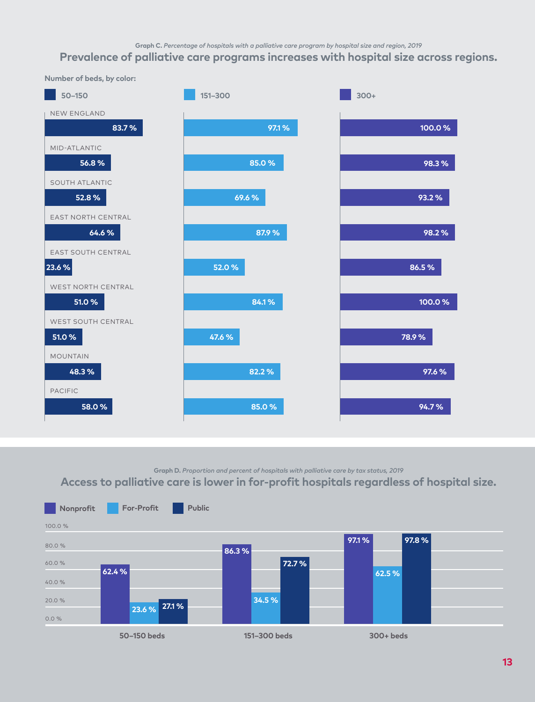**Graph C.** *Percentage of hospitals with a palliative care program by hospital size and region, 2019*

## **Prevalence of palliative care programs increases with hospital size across regions.**

![](_page_14_Figure_2.jpeg)

**Graph D.** *Proportion and percent of hospitals with palliative care by tax status, 2019*

**Access to palliative care is lower in for-profit hospitals regardless of hospital size.**

![](_page_14_Figure_5.jpeg)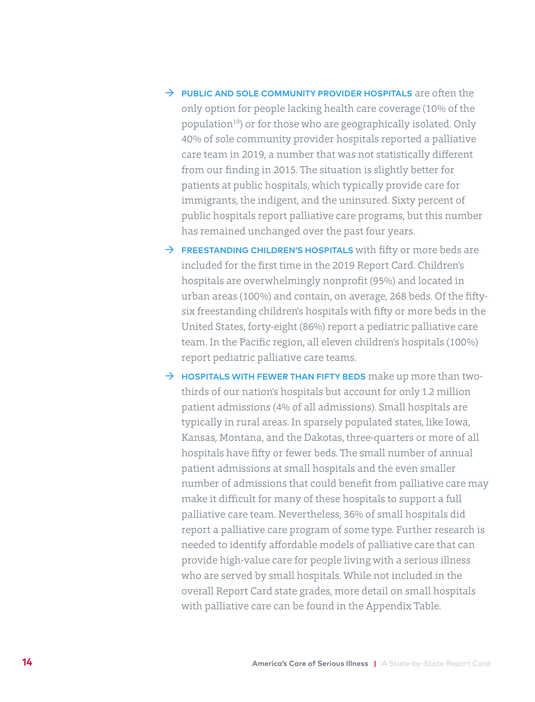- **FUBLIC AND SOLE COMMUNITY PROVIDER HOSPITALS** are often the only option for people lacking health care coverage (10% of the population<sup>19</sup>) or for those who are geographically isolated. Only 40% of sole community provider hospitals reported a palliative care team in 2019, a number that was not statistically different from our finding in 2015. The situation is slightly better for patients at public hospitals, which typically provide care for immigrants, the indigent, and the uninsured. Sixty percent of public hospitals report palliative care programs, but this number has remained unchanged over the past four years.
- Æ **FREESTANDING CHILDREN'S HOSPITALS** with fifty or more beds are included for the first time in the 2019 Report Card. Children's hospitals are overwhelmingly nonprofit (95%) and located in urban areas (100%) and contain, on average, 268 beds. Of the fiftysix freestanding children's hospitals with fifty or more beds in the United States, forty-eight (86%) report a pediatric palliative care team. In the Pacific region, all eleven children's hospitals (100%) report pediatric palliative care teams.
- Æ **HOSPITALS WITH FEWER THAN FIFTY BEDS** make up more than twothirds of our nation's hospitals but account for only 1.2 million patient admissions (4% of all admissions). Small hospitals are typically in rural areas. In sparsely populated states, like Iowa, Kansas, Montana, and the Dakotas, three-quarters or more of all hospitals have fifty or fewer beds. The small number of annual patient admissions at small hospitals and the even smaller number of admissions that could benefit from palliative care may make it difficult for many of these hospitals to support a full palliative care team. Nevertheless, 36% of small hospitals did report a palliative care program of some type. Further research is needed to identify affordable models of palliative care that can provide high-value care for people living with a serious illness who are served by small hospitals. While not included in the overall Report Card state grades, more detail on small hospitals with palliative care can be found in the Appendix Table.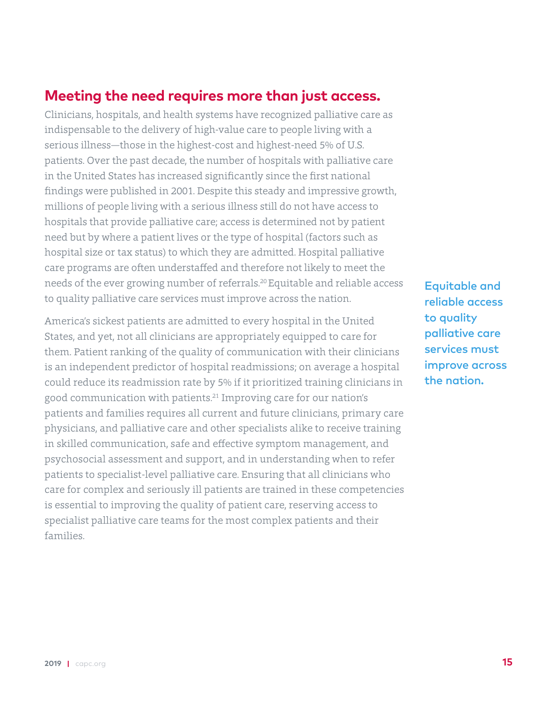## **Meeting the need requires more than just access.**

Clinicians, hospitals, and health systems have recognized palliative care as indispensable to the delivery of high-value care to people living with a serious illness—those in the highest-cost and highest-need 5% of U.S. patients. Over the past decade, the number of hospitals with palliative care in the United States has increased significantly since the first national findings were published in 2001. Despite this steady and impressive growth, millions of people living with a serious illness still do not have access to hospitals that provide palliative care; access is determined not by patient need but by where a patient lives or the type of hospital (factors such as hospital size or tax status) to which they are admitted. Hospital palliative care programs are often understaffed and therefore not likely to meet the needs of the ever growing number of referrals.20 Equitable and reliable access to quality palliative care services must improve across the nation.

America's sickest patients are admitted to every hospital in the United States, and yet, not all clinicians are appropriately equipped to care for them. Patient ranking of the quality of communication with their clinicians is an independent predictor of hospital readmissions; on average a hospital could reduce its readmission rate by 5% if it prioritized training clinicians in good communication with patients.21 Improving care for our nation's patients and families requires all current and future clinicians, primary care physicians, and palliative care and other specialists alike to receive training in skilled communication, safe and effective symptom management, and psychosocial assessment and support, and in understanding when to refer patients to specialist-level palliative care. Ensuring that all clinicians who care for complex and seriously ill patients are trained in these competencies is essential to improving the quality of patient care, reserving access to specialist palliative care teams for the most complex patients and their families.

Equitable and reliable access to quality palliative care services must improve across the nation.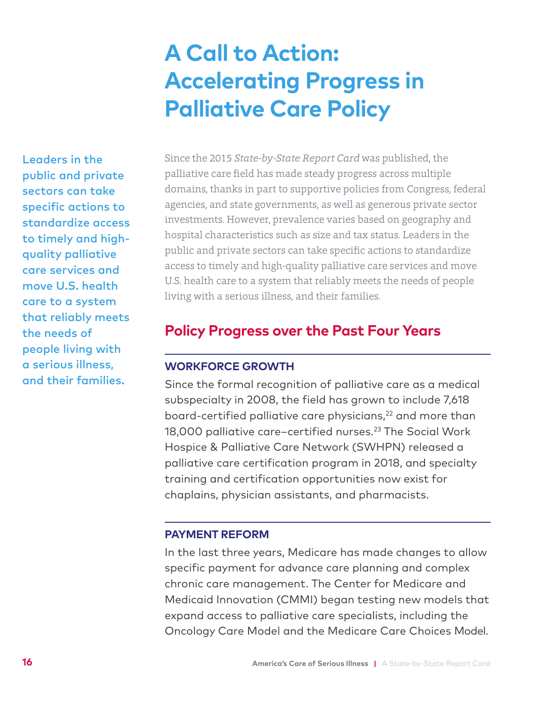## **A Call to Action: Accelerating Progress in Palliative Care Policy**

<span id="page-17-0"></span>Leaders in the public and private sectors can take specific actions to standardize access to timely and highquality palliative care services and move U.S. health care to a system that reliably meets the needs of people living with a serious illness, and their families.

Since the 2015 *State-by-State Report Card* was published, the palliative care field has made steady progress across multiple domains, thanks in part to supportive policies from Congress, federal agencies, and state governments, as well as generous private sector investments. However, prevalence varies based on geography and hospital characteristics such as size and tax status. Leaders in the public and private sectors can take specific actions to standardize access to timely and high-quality palliative care services and move U.S. health care to a system that reliably meets the needs of people living with a serious illness, and their families.

## **Policy Progress over the Past Four Years**

## **WORKFORCE GROWTH**

Since the formal recognition of palliative care as a medical subspecialty in 2008, the field has grown to include 7,618 board-certified palliative care physicians,<sup>22</sup> and more than 18,000 palliative care-certified nurses.<sup>23</sup> The Social Work Hospice & Palliative Care Network (SWHPN) released a palliative care certification program in 2018, and specialty training and certification opportunities now exist for chaplains, physician assistants, and pharmacists.

## **PAYMENT REFORM**

In the last three years, Medicare has made changes to allow specific payment for advance care planning and complex chronic care management. The Center for Medicare and Medicaid Innovation (CMMI) began testing new models that expand access to palliative care specialists, including the Oncology Care Model and the Medicare Care Choices Model.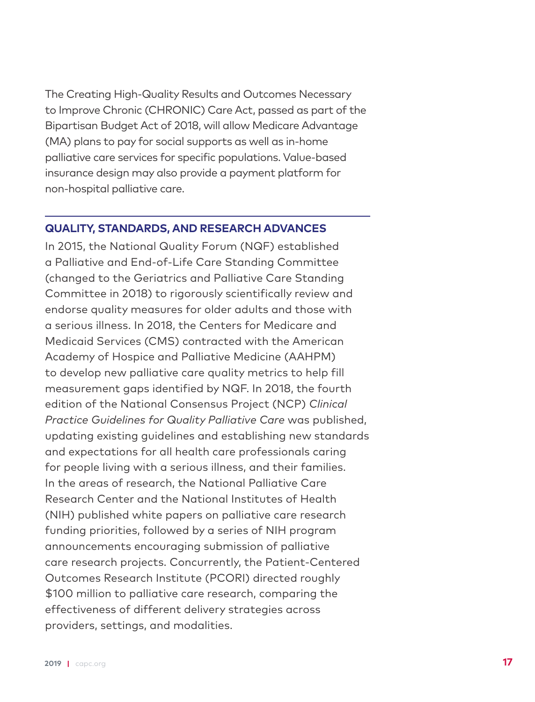The Creating High-Quality Results and Outcomes Necessary to Improve Chronic (CHRONIC) Care Act, passed as part of the Bipartisan Budget Act of 2018, will allow Medicare Advantage (MA) plans to pay for social supports as well as in-home palliative care services for specific populations. Value-based insurance design may also provide a payment platform for non-hospital palliative care.

## **QUALITY, STANDARDS, AND RESEARCH ADVANCES**

In 2015, the National Quality Forum (NQF) established a Palliative and End-of-Life Care Standing Committee (changed to the Geriatrics and Palliative Care Standing Committee in 2018) to rigorously scientifically review and endorse quality measures for older adults and those with a serious illness. In 2018, the Centers for Medicare and Medicaid Services (CMS) contracted with the American Academy of Hospice and Palliative Medicine (AAHPM) to develop new palliative care quality metrics to help fill measurement gaps identified by NQF. In 2018, the fourth edition of the National Consensus Project (NCP) *Clinical Practice Guidelines for Quality Palliative Care* was published, updating existing guidelines and establishing new standards and expectations for all health care professionals caring for people living with a serious illness, and their families. In the areas of research, the National Palliative Care Research Center and the National Institutes of Health (NIH) published white papers on palliative care research funding priorities, followed by a series of NIH program announcements encouraging submission of palliative care research projects. Concurrently, the Patient-Centered Outcomes Research Institute (PCORI) directed roughly \$100 million to palliative care research, comparing the effectiveness of different delivery strategies across providers, settings, and modalities.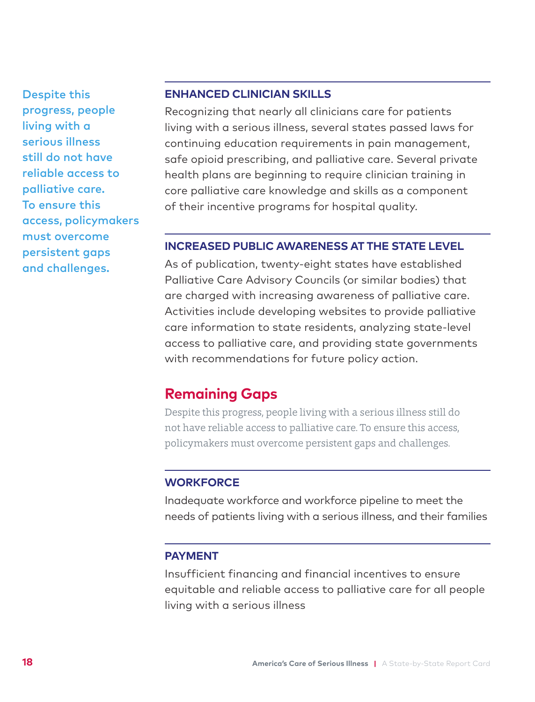Despite this progress, people living with a serious illness still do not have reliable access to palliative care. To ensure this access, policymakers must overcome persistent gaps and challenges.

## **ENHANCED CLINICIAN SKILLS**

Recognizing that nearly all clinicians care for patients living with a serious illness, several states passed laws for continuing education requirements in pain management, safe opioid prescribing, and palliative care. Several private health plans are beginning to require clinician training in core palliative care knowledge and skills as a component of their incentive programs for hospital quality.

## **INCREASED PUBLIC AWARENESS AT THE STATE LEVEL**

As of publication, twenty-eight states have established Palliative Care Advisory Councils (or similar bodies) that are charged with increasing awareness of palliative care. Activities include developing websites to provide palliative care information to state residents, analyzing state-level access to palliative care, and providing state governments with recommendations for future policy action.

## **Remaining Gaps**

Despite this progress, people living with a serious illness still do not have reliable access to palliative care. To ensure this access, policymakers must overcome persistent gaps and challenges.

## **WORKFORCE**

Inadequate workforce and workforce pipeline to meet the needs of patients living with a serious illness, and their families

### **PAYMENT**

Insufficient financing and financial incentives to ensure equitable and reliable access to palliative care for all people living with a serious illness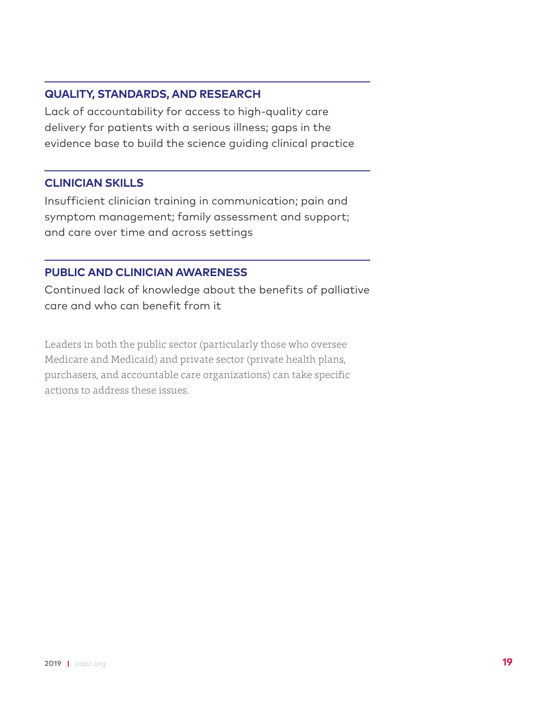## **QUALITY, STANDARDS, AND RESEARCH**

Lack of accountability for access to high-quality care delivery for patients with a serious illness; gaps in the evidence base to build the science guiding clinical practice

## **CLINICIAN SKILLS**

Insufficient clinician training in communication; pain and symptom management; family assessment and support; and care over time and across settings

## **PUBLIC AND CLINICIAN AWARENESS**

Continued lack of knowledge about the benefits of palliative care and who can benefit from it

Leaders in both the public sector (particularly those who oversee Medicare and Medicaid) and private sector (private health plans, purchasers, and accountable care organizations) can take specific actions to address these issues.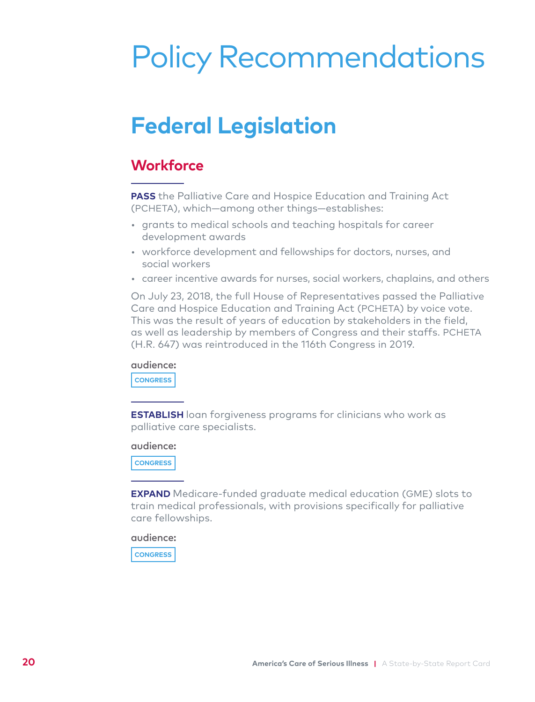## <span id="page-21-0"></span>Policy Recommendations

## **Federal Legislation**

## **Workforce**

**PASS** the Palliative Care and Hospice Education and Training Act (PCHETA), which—among other things—establishes:

- grants to medical schools and teaching hospitals for career development awards
- workforce development and fellowships for doctors, nurses, and social workers
- career incentive awards for nurses, social workers, chaplains, and others

On July 23, 2018, the full House of Representatives passed the Palliative Care and Hospice Education and Training Act (PCHETA) by voice vote. This was the result of years of education by stakeholders in the field, as well as leadership by members of Congress and their staffs. PCHETA (H.R. 647) was reintroduced in the 116th Congress in 2019.

audience:

**CONGRESS**

**ESTABLISH** loan forgiveness programs for clinicians who work as palliative care specialists.

#### audience:

**CONGRESS**

**EXPAND** Medicare-funded graduate medical education (GME) slots to train medical professionals, with provisions specifically for palliative care fellowships.

audience:

**CONGRESS**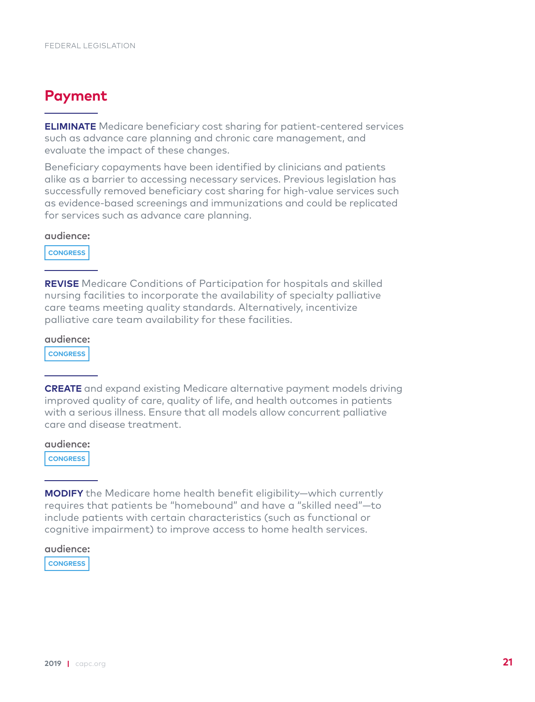## **Payment**

**ELIMINATE** Medicare beneficiary cost sharing for patient-centered services such as advance care planning and chronic care management, and evaluate the impact of these changes.

Beneficiary copayments have been identified by clinicians and patients alike as a barrier to accessing necessary services. Previous legislation has successfully removed beneficiary cost sharing for high-value services such as evidence-based screenings and immunizations and could be replicated for services such as advance care planning.

## audience:

**CONGRESS**

**REVISE** Medicare Conditions of Participation for hospitals and skilled nursing facilities to incorporate the availability of specialty palliative care teams meeting quality standards. Alternatively, incentivize palliative care team availability for these facilities.

audience:

**CONGRESS**

**CREATE** and expand existing Medicare alternative payment models driving improved quality of care, quality of life, and health outcomes in patients with a serious illness. Ensure that all models allow concurrent palliative care and disease treatment.

audience:

**CONGRESS**

**MODIFY** the Medicare home health benefit eligibility—which currently requires that patients be "homebound" and have a "skilled need"—to include patients with certain characteristics (such as functional or cognitive impairment) to improve access to home health services.

audience:

**CONGRESS**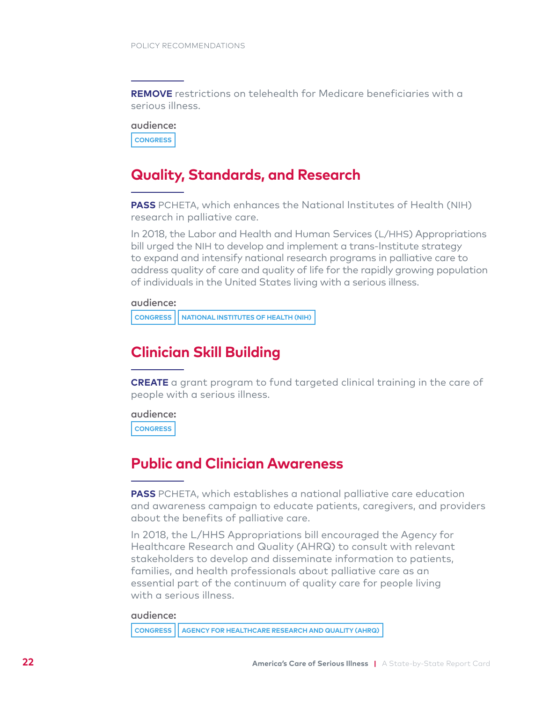**REMOVE** restrictions on telehealth for Medicare beneficiaries with a serious illness.

audience: **CONGRESS**

## **Quality, Standards, and Research**

**PASS** PCHETA, which enhances the National Institutes of Health (NIH) research in palliative care.

In 2018, the Labor and Health and Human Services (L/HHS) Appropriations bill urged the NIH to develop and implement a trans-Institute strategy to expand and intensify national research programs in palliative care to address quality of care and quality of life for the rapidly growing population of individuals in the United States living with a serious illness.

audience:

**CONGRESS NATIONAL INSTITUTES OF HEALTH (NIH)**

## **Clinician Skill Building**

**CREATE** a grant program to fund targeted clinical training in the care of people with a serious illness.

audience: **CONGRESS**

## **Public and Clinician Awareness**

**PASS** PCHETA, which establishes a national palliative care education and awareness campaign to educate patients, caregivers, and providers about the benefits of palliative care.

In 2018, the L/HHS Appropriations bill encouraged the Agency for Healthcare Research and Quality (AHRQ) to consult with relevant stakeholders to develop and disseminate information to patients, families, and health professionals about palliative care as an essential part of the continuum of quality care for people living with a serious illness.

#### audience:

**CONGRESS AGENCY FOR HEALTHCARE RESEARCH AND QUALITY (AHRQ)**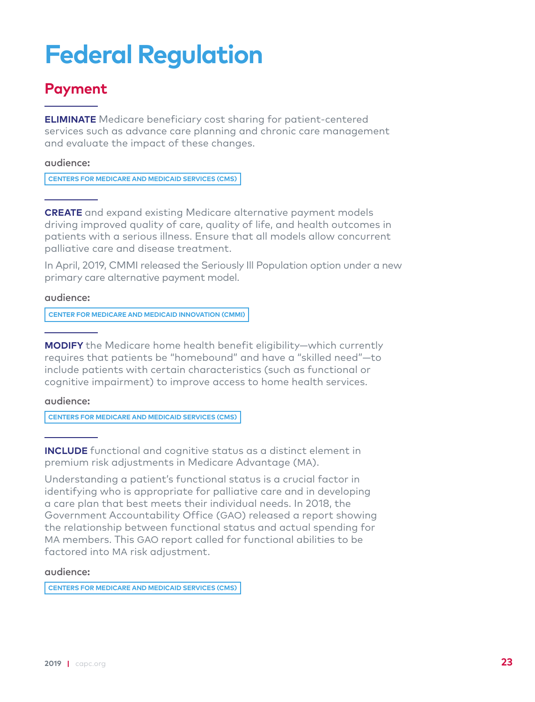## **Federal Regulation**

## **Payment**

**ELIMINATE** Medicare beneficiary cost sharing for patient-centered services such as advance care planning and chronic care management and evaluate the impact of these changes.

audience:

**CENTERS FOR MEDICARE AND MEDICAID SERVICES (CMS)**

**CREATE** and expand existing Medicare alternative payment models driving improved quality of care, quality of life, and health outcomes in patients with a serious illness. Ensure that all models allow concurrent palliative care and disease treatment.

In April, 2019, CMMI released the Seriously Ill Population option under a new primary care alternative payment model.

audience:

**CENTER FOR MEDICARE AND MEDICAID INNOVATION (CMMI)**

**MODIFY** the Medicare home health benefit eligibility—which currently requires that patients be "homebound" and have a "skilled need"—to include patients with certain characteristics (such as functional or cognitive impairment) to improve access to home health services.

### audience:

**CENTERS FOR MEDICARE AND MEDICAID SERVICES (CMS)**

**INCLUDE** functional and cognitive status as a distinct element in premium risk adjustments in Medicare Advantage (MA).

Understanding a patient's functional status is a crucial factor in identifying who is appropriate for palliative care and in developing a care plan that best meets their individual needs. In 2018, the Government Accountability Office (GAO) released a report showing the relationship between functional status and actual spending for MA members. This GAO report called for functional abilities to be factored into MA risk adjustment.

#### audience:

**CENTERS FOR MEDICARE AND MEDICAID SERVICES (CMS)**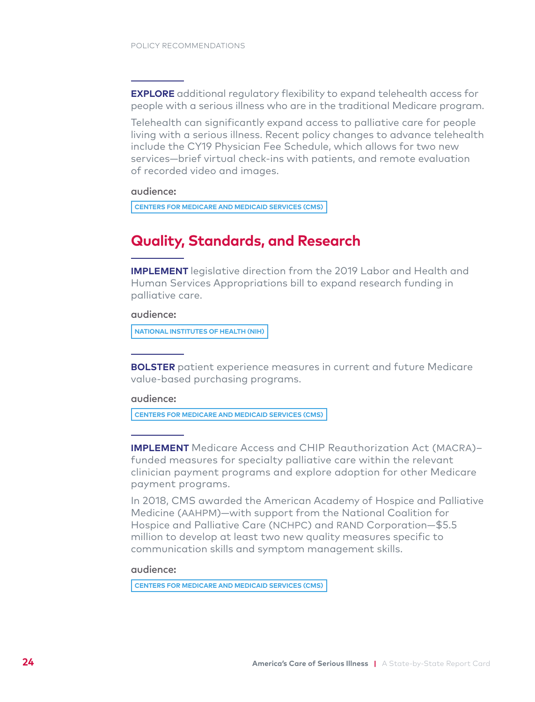**EXPLORE** additional regulatory flexibility to expand telehealth access for people with a serious illness who are in the traditional Medicare program.

Telehealth can significantly expand access to palliative care for people living with a serious illness. Recent policy changes to advance telehealth include the CY19 Physician Fee Schedule, which allows for two new services—brief virtual check-ins with patients, and remote evaluation of recorded video and images.

#### audience:

**CENTERS FOR MEDICARE AND MEDICAID SERVICES (CMS)**

## **Quality, Standards, and Research**

**IMPLEMENT** legislative direction from the 2019 Labor and Health and Human Services Appropriations bill to expand research funding in palliative care.

### audience:

**NATIONAL INSTITUTES OF HEALTH (NIH)**

**BOLSTER** patient experience measures in current and future Medicare value-based purchasing programs.

#### audience:

**CENTERS FOR MEDICARE AND MEDICAID SERVICES (CMS)**

**IMPLEMENT** Medicare Access and CHIP Reauthorization Act (MACRA)– funded measures for specialty palliative care within the relevant clinician payment programs and explore adoption for other Medicare payment programs.

In 2018, CMS awarded the American Academy of Hospice and Palliative Medicine (AAHPM)—with support from the National Coalition for Hospice and Palliative Care (NCHPC) and RAND Corporation—\$5.5 million to develop at least two new quality measures specific to communication skills and symptom management skills.

#### audience:

**CENTERS FOR MEDICARE AND MEDICAID SERVICES (CMS)**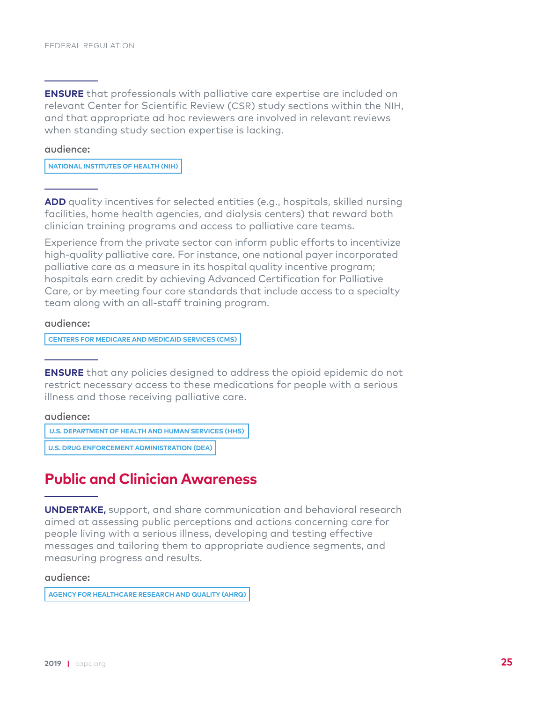**ENSURE** that professionals with palliative care expertise are included on relevant Center for Scientific Review (CSR) study sections within the NIH, and that appropriate ad hoc reviewers are involved in relevant reviews when standing study section expertise is lacking.

#### audience:

**NATIONAL INSTITUTES OF HEALTH (NIH)**

**ADD** quality incentives for selected entities (e.g., hospitals, skilled nursing facilities, home health agencies, and dialysis centers) that reward both clinician training programs and access to palliative care teams.

Experience from the private sector can inform public efforts to incentivize high-quality palliative care. For instance, one national payer incorporated palliative care as a measure in its hospital quality incentive program; hospitals earn credit by achieving Advanced Certification for Palliative Care, or by meeting four core standards that include access to a specialty team along with an all-staff training program.

audience:

**CENTERS FOR MEDICARE AND MEDICAID SERVICES (CMS)**

**ENSURE** that any policies designed to address the opioid epidemic do not restrict necessary access to these medications for people with a serious illness and those receiving palliative care.

#### audience:

**U.S. DEPARTMENT OF HEALTH AND HUMAN SERVICES (HHS)**

**U.S. DRUG ENFORCEMENT ADMINISTRATION (DEA)**

## **Public and Clinician Awareness**

**UNDERTAKE,** support, and share communication and behavioral research aimed at assessing public perceptions and actions concerning care for people living with a serious illness, developing and testing effective messages and tailoring them to appropriate audience segments, and measuring progress and results.

#### audience:

**AGENCY FOR HEALTHCARE RESEARCH AND QUALITY (AHRQ)**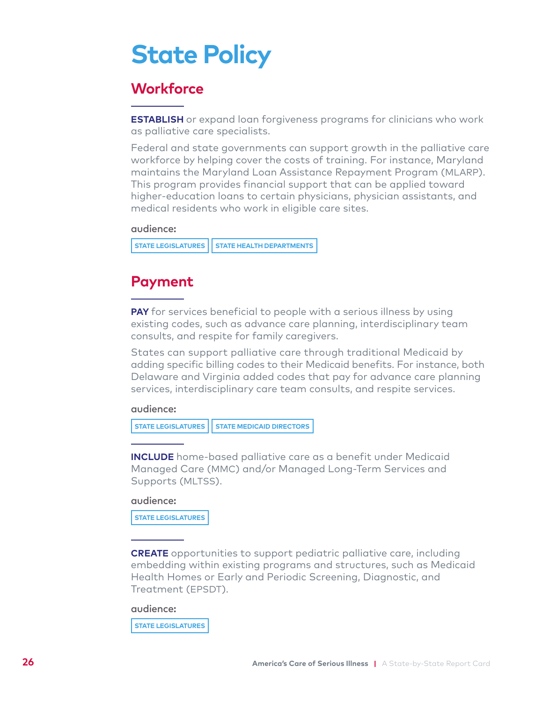## **State Policy**

## **Workforce**

**ESTABLISH** or expand loan forgiveness programs for clinicians who work as palliative care specialists.

Federal and state governments can support growth in the palliative care workforce by helping cover the costs of training. For instance, Maryland maintains the Maryland Loan Assistance Repayment Program (MLARP). This program provides financial support that can be applied toward higher-education loans to certain physicians, physician assistants, and medical residents who work in eligible care sites.

### audience:

**STATE LEGISLATURES | STATE HEALTH DEPARTMENTS** 

## **Payment**

**PAY** for services beneficial to people with a serious illness by using existing codes, such as advance care planning, interdisciplinary team consults, and respite for family caregivers.

States can support palliative care through traditional Medicaid by adding specific billing codes to their Medicaid benefits. For instance, both Delaware and Virginia added codes that pay for advance care planning services, interdisciplinary care team consults, and respite services.

### audience:

**STATE LEGISLATURES | STATE MEDICAID DIRECTORS** 

**INCLUDE** home-based palliative care as a benefit under Medicaid Managed Care (MMC) and/or Managed Long-Term Services and Supports (MLTSS).

#### audience:

**STATE LEGISLATURES** 

**CREATE** opportunities to support pediatric palliative care, including embedding within existing programs and structures, such as Medicaid Health Homes or Early and Periodic Screening, Diagnostic, and Treatment (EPSDT).

### audience:

**STATE LEGISLATURES**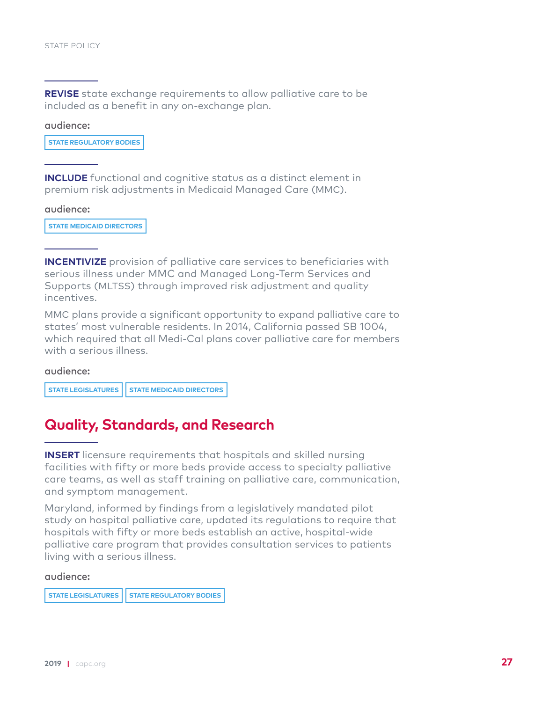**REVISE** state exchange requirements to allow palliative care to be included as a benefit in any on-exchange plan.

#### audience:

**STATE REGULATORY BODIES**

**INCLUDE** functional and cognitive status as a distinct element in premium risk adjustments in Medicaid Managed Care (MMC).

audience:

**STATE MEDICAID DIRECTORS**

**INCENTIVIZE** provision of palliative care services to beneficiaries with serious illness under MMC and Managed Long-Term Services and Supports (MLTSS) through improved risk adjustment and quality incentives.

MMC plans provide a significant opportunity to expand palliative care to states' most vulnerable residents. In 2014, California passed SB 1004, which required that all Medi-Cal plans cover palliative care for members with a serious illness.

#### audience:

**STATE LEGISLATURES | STATE MEDICAID DIRECTORS** 

## **Quality, Standards, and Research**

**INSERT** licensure requirements that hospitals and skilled nursing facilities with fifty or more beds provide access to specialty palliative care teams, as well as staff training on palliative care, communication, and symptom management.

Maryland, informed by findings from a legislatively mandated pilot study on hospital palliative care, updated its regulations to require that hospitals with fifty or more beds establish an active, hospital-wide palliative care program that provides consultation services to patients living with a serious illness.

#### audience:

**STATE LEGISLATURES | STATE REGULATORY BODIES**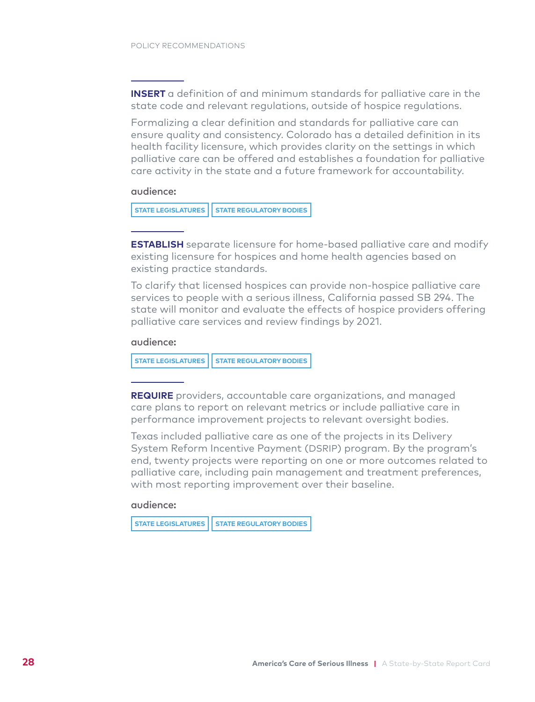**INSERT** a definition of and minimum standards for palliative care in the state code and relevant regulations, outside of hospice regulations.

Formalizing a clear definition and standards for palliative care can ensure quality and consistency. Colorado has a detailed definition in its health facility licensure, which provides clarity on the settings in which palliative care can be offered and establishes a foundation for palliative care activity in the state and a future framework for accountability.

audience:

**STATE LEGISLATURES | STATE REGULATORY BODIES** 

**ESTABLISH** separate licensure for home-based palliative care and modify existing licensure for hospices and home health agencies based on existing practice standards.

To clarify that licensed hospices can provide non-hospice palliative care services to people with a serious illness, California passed SB 294. The state will monitor and evaluate the effects of hospice providers offering palliative care services and review findings by 2021.

#### audience:

**STATE LEGISLATURES | STATE REGULATORY BODIES** 

**REQUIRE** providers, accountable care organizations, and managed care plans to report on relevant metrics or include palliative care in performance improvement projects to relevant oversight bodies.

Texas included palliative care as one of the projects in its Delivery System Reform Incentive Payment (DSRIP) program. By the program's end, twenty projects were reporting on one or more outcomes related to palliative care, including pain management and treatment preferences, with most reporting improvement over their baseline.

#### audience:

```
STATE LEGISLATURES | STATE REGULATORY BODIES
```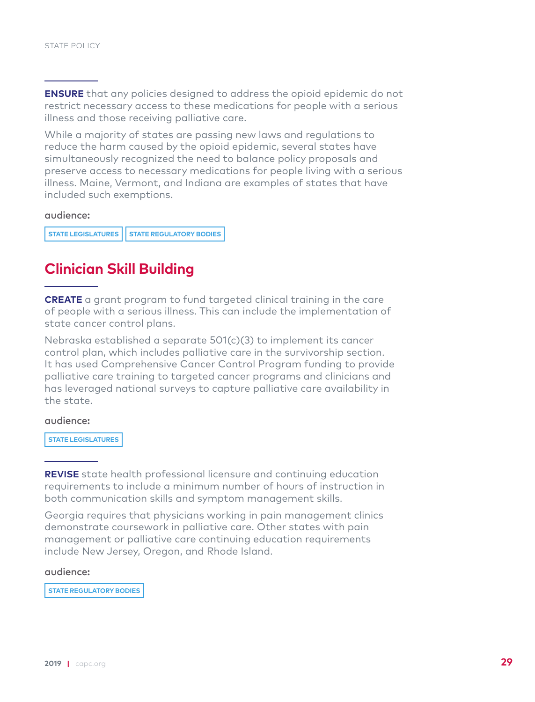**ENSURE** that any policies designed to address the opioid epidemic do not restrict necessary access to these medications for people with a serious illness and those receiving palliative care.

While a majority of states are passing new laws and regulations to reduce the harm caused by the opioid epidemic, several states have simultaneously recognized the need to balance policy proposals and preserve access to necessary medications for people living with a serious illness. Maine, Vermont, and Indiana are examples of states that have included such exemptions.

### audience:

**STATE LEGISLATURES | STATE REGULATORY BODIES** 

## **Clinician Skill Building**

**CREATE** a grant program to fund targeted clinical training in the care of people with a serious illness. This can include the implementation of state cancer control plans.

Nebraska established a separate 501(c)(3) to implement its cancer control plan, which includes palliative care in the survivorship section. It has used Comprehensive Cancer Control Program funding to provide palliative care training to targeted cancer programs and clinicians and has leveraged national surveys to capture palliative care availability in the state.

#### audience:

**STATE LEGISLATURES** 

**REVISE** state health professional licensure and continuing education requirements to include a minimum number of hours of instruction in both communication skills and symptom management skills.

Georgia requires that physicians working in pain management clinics demonstrate coursework in palliative care. Other states with pain management or palliative care continuing education requirements include New Jersey, Oregon, and Rhode Island.

### audience:

**STATE REGULATORY BODIES**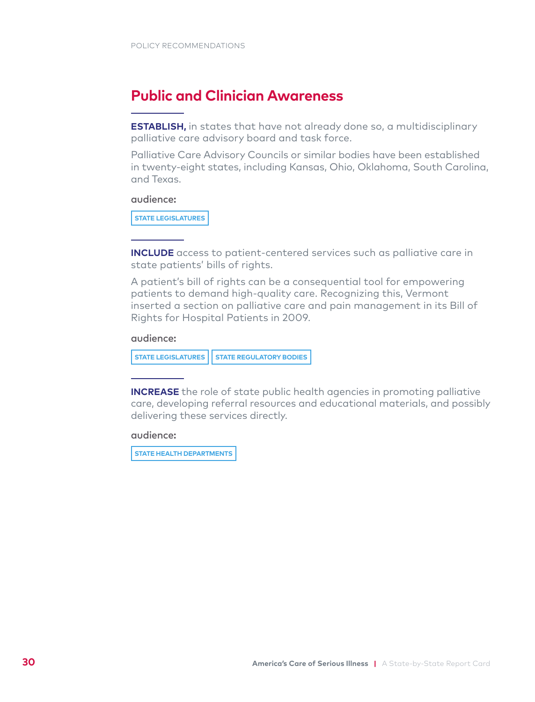## **Public and Clinician Awareness**

**ESTABLISH,** in states that have not already done so, a multidisciplinary palliative care advisory board and task force.

Palliative Care Advisory Councils or similar bodies have been established in twenty-eight states, including Kansas, Ohio, Oklahoma, South Carolina, and Texas.

#### audience:

**STATE LEGISLATURES** 

**INCLUDE** access to patient-centered services such as palliative care in state patients' bills of rights.

A patient's bill of rights can be a consequential tool for empowering patients to demand high-quality care. Recognizing this, Vermont inserted a section on palliative care and pain management in its Bill of Rights for Hospital Patients in 2009.

### audience:

![](_page_31_Figure_9.jpeg)

**INCREASE** the role of state public health agencies in promoting palliative care, developing referral resources and educational materials, and possibly delivering these services directly.

audience:

**STATE HEALTH DEPARTMENTS**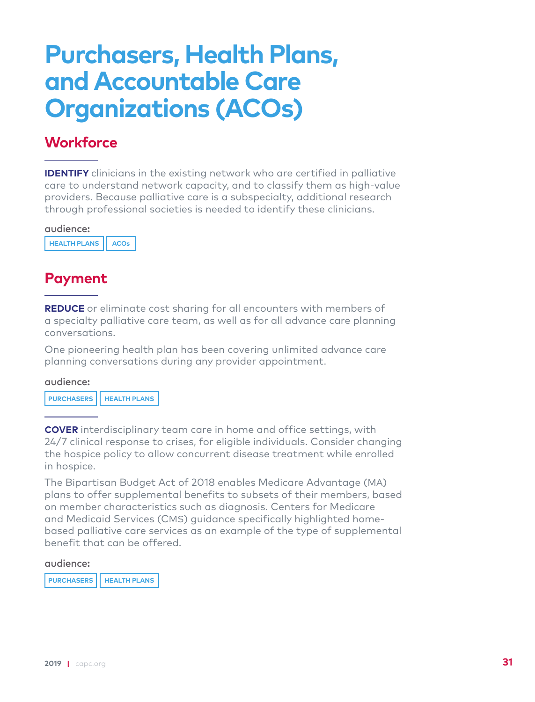## **Purchasers, Health Plans, and Accountable Care Organizations (ACOs)**

## **Workforce**

**IDENTIFY** clinicians in the existing network who are certified in palliative care to understand network capacity, and to classify them as high-value providers. Because palliative care is a subspecialty, additional research through professional societies is needed to identify these clinicians.

## audience:

**HEALTH PLANS ACOs**

## **Payment**

**REDUCE** or eliminate cost sharing for all encounters with members of a specialty palliative care team, as well as for all advance care planning conversations.

One pioneering health plan has been covering unlimited advance care planning conversations during any provider appointment.

### audience:

**PURCHASERS HEALTH PLANS**

**COVER** interdisciplinary team care in home and office settings, with 24/7 clinical response to crises, for eligible individuals. Consider changing the hospice policy to allow concurrent disease treatment while enrolled in hospice.

The Bipartisan Budget Act of 2018 enables Medicare Advantage (MA) plans to offer supplemental benefits to subsets of their members, based on member characteristics such as diagnosis. Centers for Medicare and Medicaid Services (CMS) guidance specifically highlighted homebased palliative care services as an example of the type of supplemental benefit that can be offered.

#### audience:

**PURCHASERS HEALTH PLANS**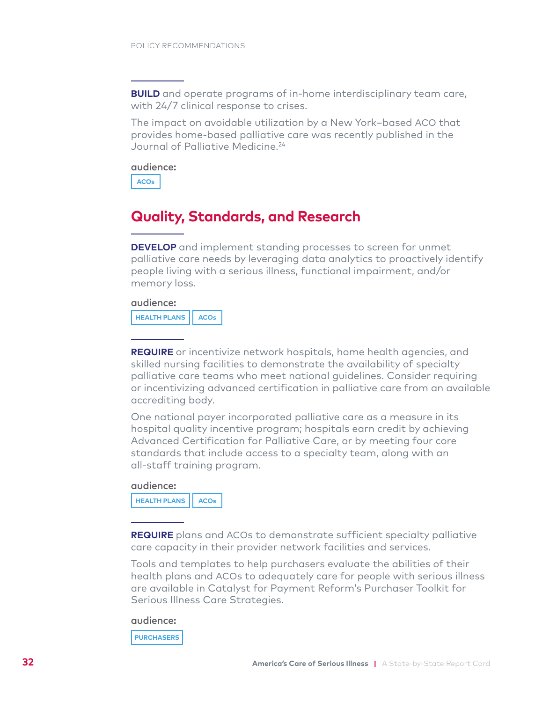**BUILD** and operate programs of in-home interdisciplinary team care, with 24/7 clinical response to crises.

The impact on avoidable utilization by a New York–based ACO that provides home-based palliative care was recently published in the Journal of Palliative Medicine.<sup>24</sup>

audience:

**ACOs**

## **Quality, Standards, and Research**

**DEVELOP** and implement standing processes to screen for unmet palliative care needs by leveraging data analytics to proactively identify people living with a serious illness, functional impairment, and/or memory loss.

#### audience:

**HEALTH PLANS ACOs**

**REQUIRE** or incentivize network hospitals, home health agencies, and skilled nursing facilities to demonstrate the availability of specialty palliative care teams who meet national guidelines. Consider requiring or incentivizing advanced certification in palliative care from an available accrediting body.

One national payer incorporated palliative care as a measure in its hospital quality incentive program; hospitals earn credit by achieving Advanced Certification for Palliative Care, or by meeting four core standards that include access to a specialty team, along with an all-staff training program.

#### audience:

**HEALTH PLANS ACOs**

**REQUIRE** plans and ACOs to demonstrate sufficient specialty palliative care capacity in their provider network facilities and services.

Tools and templates to help purchasers evaluate the abilities of their health plans and ACOs to adequately care for people with serious illness are available in Catalyst for Payment Reform's Purchaser Toolkit for Serious Illness Care Strategies.

#### audience:

**PURCHASERS**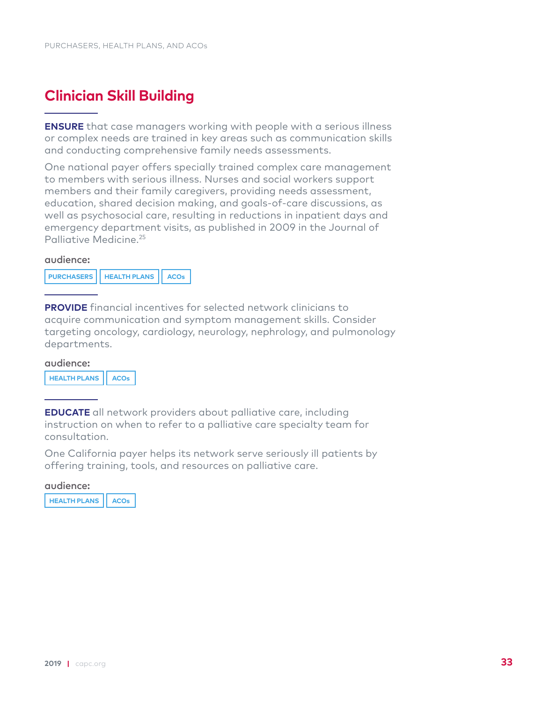## **Clinician Skill Building**

**ENSURE** that case managers working with people with a serious illness or complex needs are trained in key areas such as communication skills and conducting comprehensive family needs assessments.

One national payer offers specially trained complex care management to members with serious illness. Nurses and social workers support members and their family caregivers, providing needs assessment, education, shared decision making, and goals-of-care discussions, as well as psychosocial care, resulting in reductions in inpatient days and emergency department visits, as published in 2009 in the Journal of Palliative Medicine<sup>25</sup>

#### audience:

**PROVIDE** financial incentives for selected network clinicians to acquire communication and symptom management skills. Consider targeting oncology, cardiology, neurology, nephrology, and pulmonology departments.

#### audience:

**HEALTH PLANS ACOs**

**EDUCATE** all network providers about palliative care, including instruction on when to refer to a palliative care specialty team for consultation.

One California payer helps its network serve seriously ill patients by offering training, tools, and resources on palliative care.

#### audience:

**HEALTH PLANS ACOs**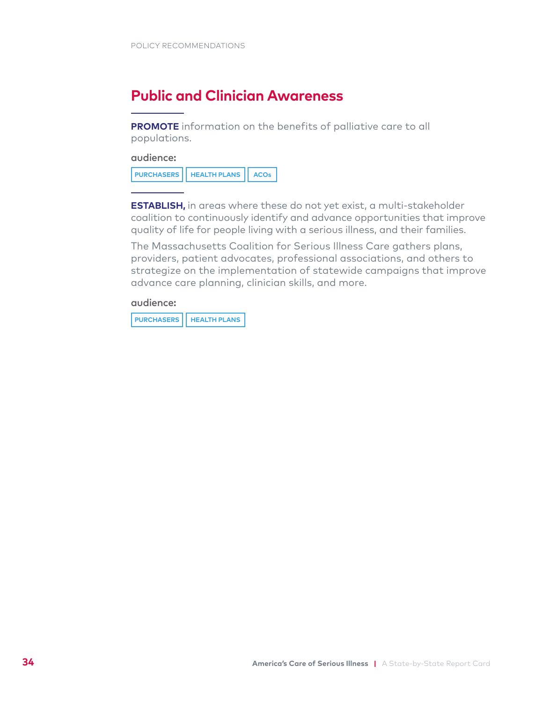## **Public and Clinician Awareness**

**PROMOTE** information on the benefits of palliative care to all populations.

audience:

| PURCHASERS   HEALTH PLANS   ACOs |
|----------------------------------|
|----------------------------------|

**ESTABLISH,** in areas where these do not yet exist, a multi-stakeholder coalition to continuously identify and advance opportunities that improve quality of life for people living with a serious illness, and their families.

The Massachusetts Coalition for Serious Illness Care gathers plans, providers, patient advocates, professional associations, and others to strategize on the implementation of statewide campaigns that improve advance care planning, clinician skills, and more.

audience:

**PURCHASERS HEALTH PLANS**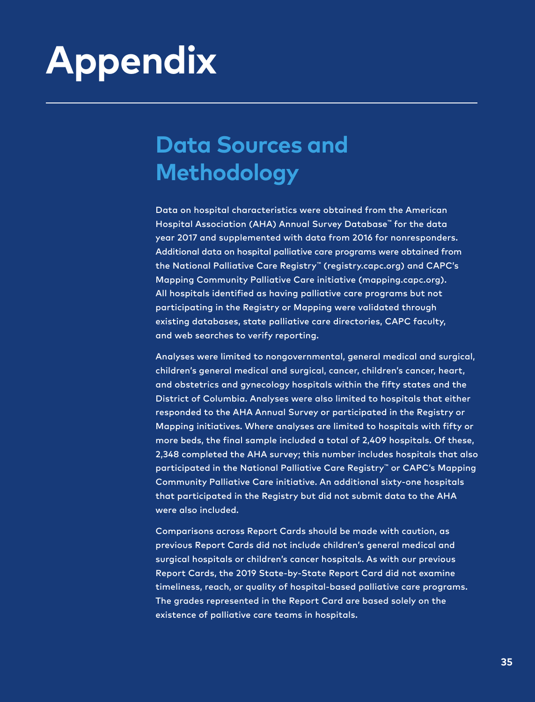# <span id="page-36-0"></span>**Appendix**

## **Data Sources and Methodology**

Data on hospital characteristics were obtained from the American Hospital Association (AHA) Annual Survey Database™ for the data year 2017 and supplemented with data from 2016 for nonresponders. Additional data on hospital palliative care programs were obtained from the National Palliative Care Registry™ (registry.capc.org) and CAPC's Mapping Community Palliative Care initiative (mapping.capc.org). All hospitals identified as having palliative care programs but not participating in the Registry or Mapping were validated through existing databases, state palliative care directories, CAPC faculty, and web searches to verify reporting.

Analyses were limited to nongovernmental, general medical and surgical, children's general medical and surgical, cancer, children's cancer, heart, and obstetrics and gynecology hospitals within the fifty states and the District of Columbia. Analyses were also limited to hospitals that either responded to the AHA Annual Survey or participated in the Registry or Mapping initiatives. Where analyses are limited to hospitals with fifty or more beds, the final sample included a total of 2,409 hospitals. Of these, 2,348 completed the AHA survey; this number includes hospitals that also participated in the National Palliative Care Registry™ or CAPC's Mapping Community Palliative Care initiative. An additional sixty-one hospitals that participated in the Registry but did not submit data to the AHA were also included.

Comparisons across Report Cards should be made with caution, as previous Report Cards did not include children's general medical and surgical hospitals or children's cancer hospitals. As with our previous Report Cards, the 2019 State-by-State Report Card did not examine timeliness, reach, or quality of hospital-based palliative care programs. The grades represented in the Report Card are based solely on the existence of palliative care teams in hospitals.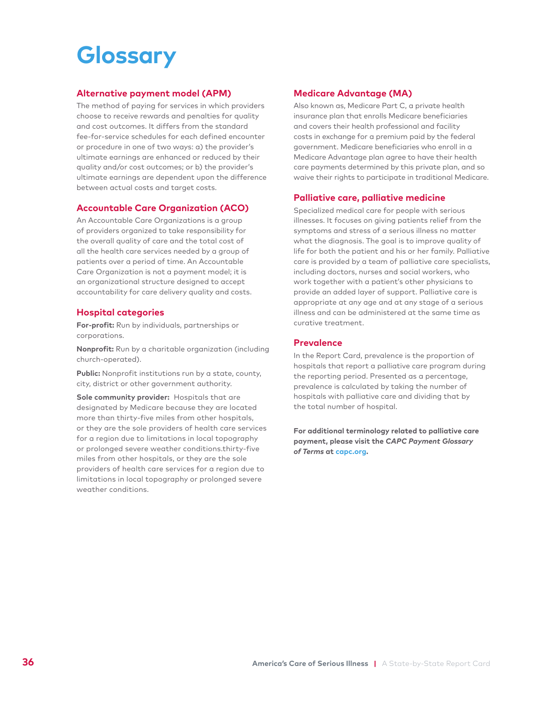## **Glossary**

### **Alternative payment model (APM)**

The method of paying for services in which providers choose to receive rewards and penalties for quality and cost outcomes. It differs from the standard fee-for-service schedules for each defined encounter or procedure in one of two ways: a) the provider's ultimate earnings are enhanced or reduced by their quality and/or cost outcomes; or b) the provider's ultimate earnings are dependent upon the difference between actual costs and target costs.

### **Accountable Care Organization (ACO)**

An Accountable Care Organizations is a group of providers organized to take responsibility for the overall quality of care and the total cost of all the health care services needed by a group of patients over a period of time. An Accountable Care Organization is not a payment model; it is an organizational structure designed to accept accountability for care delivery quality and costs.

### **Hospital categories**

**For-profit:** Run by individuals, partnerships or corporations.

**Nonprofit:** Run by a charitable organization (including church-operated).

**Public:** Nonprofit institutions run by a state, county, city, district or other government authority.

**Sole community provider:** Hospitals that are designated by Medicare because they are located more than thirty-five miles from other hospitals, or they are the sole providers of health care services for a region due to limitations in local topography or prolonged severe weather conditions.thirty-five miles from other hospitals, or they are the sole providers of health care services for a region due to limitations in local topography or prolonged severe weather conditions.

### **Medicare Advantage (MA)**

Also known as, Medicare Part C, a private health insurance plan that enrolls Medicare beneficiaries and covers their health professional and facility costs in exchange for a premium paid by the federal government. Medicare beneficiaries who enroll in a Medicare Advantage plan agree to have their health care payments determined by this private plan, and so waive their rights to participate in traditional Medicare.

#### **Palliative care, palliative medicine**

Specialized medical care for people with serious illnesses. It focuses on giving patients relief from the symptoms and stress of a serious illness no matter what the diagnosis. The goal is to improve quality of life for both the patient and his or her family. Palliative care is provided by a team of palliative care specialists, including doctors, nurses and social workers, who work together with a patient's other physicians to provide an added layer of support. Palliative care is appropriate at any age and at any stage of a serious illness and can be administered at the same time as curative treatment.

#### **Prevalence**

In the Report Card, prevalence is the proportion of hospitals that report a palliative care program during the reporting period. Presented as a percentage, prevalence is calculated by taking the number of hospitals with palliative care and dividing that by the total number of hospital.

**For additional terminology related to palliative care payment, please visit the** *CAPC Payment Glossary of Terms* **at [capc.org](http://capc.org).**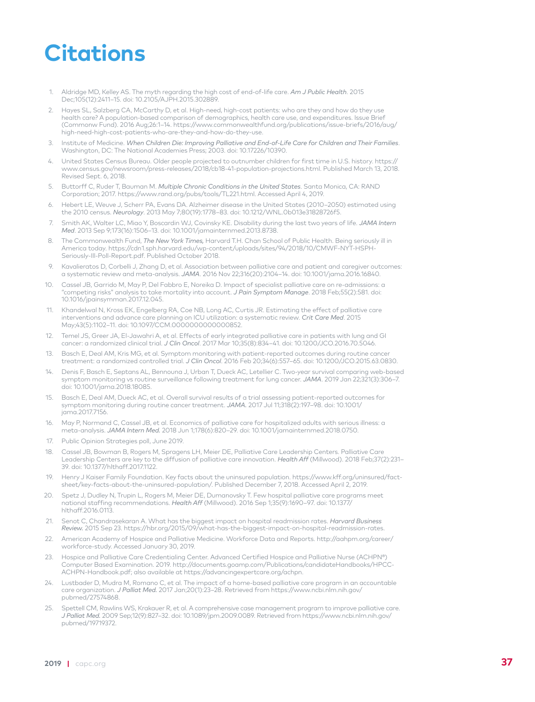## **Citations**

- Aldridge MD, Kelley AS. The myth regarding the high cost of end-of-life care. *Am J Public Health*. 2015 Dec;105(12):2411–15. doi: 10.2105/AJPH.2015.302889. 1.
- Hayes SL, Salzberg CA, McCarthy D, et al. High-need, high-cost patients: who are they and how do they use health care? A population-based comparison of demographics, health care use, and expenditures. Issue Brief (Commonw Fund). 2016 Aug;26:1–14. https://www.commonwealthfund.org/publications/issue-briefs/2016/aug/ high-need-high-cost-patients-who-are-they-and-how-do-they-use. 2.
- Institute of Medicine. *When Children Die: Improving Palliative and End-of-Life Care for Children and Their Families*. Washington, DC: The National Academies Press; 2003. doi: 10.17226/10390. 3.
- United States Census Bureau. Older people projected to outnumber children for first time in U.S. history. https:// www.census.gov/newsroom/press-releases/2018/cb18-41-population-projections.html. Published March 13, 2018. Revised Sept. 6, 2018. 4.
- Buttorff C, Ruder T, Bauman M. *Multiple Chronic Conditions in the United States*. Santa Monica, CA: RAND Corporation; 2017. https://www.rand.org/pubs/tools/TL221.html. Accessed April 4, 2019. 5.
- Hebert LE, Weuve J, Scherr PA, Evans DA. Alzheimer disease in the United States (2010–2050) estimated using the 2010 census. *Neurology*. 2013 May 7;80(19):1778–83. doi: 10.1212/WNL.0b013e31828726f5. 6.
- Smith AK, Walter LC, Miao Y, Boscardin WJ, Covinsky KE. Disability during the last two years of life. *JAMA Intern Med*. 2013 Sep 9;173(16):1506–13. doi: 10.1001/jamainternmed.2013.8738. 7.
- The Commonwealth Fund, *The New York Times,* Harvard T.H. Chan School of Public Health. Being seriously ill in America today. https://cdn1.sph.harvard.edu/wp-content/uploads/sites/94/2018/10/CMWF-NYT-HSPH-Seriously-Ill-Poll-Report.pdf. Published October 2018. 8.
- Kavalieratos D, Corbelli J, Zhang D, et al. Association between palliative care and patient and caregiver outcomes: a systematic review and meta-analysis. *JAMA*. 2016 Nov 22;316(20):2104–14. doi: 10.1001/jama.2016.16840.  $\circ$
- Cassel JB, Garrido M, May P, Del Fabbro E, Noreika D. Impact of specialist palliative care on re-admissions: a "competing risks" analysis to take mortality into account. *J Pain Symptom Manage*. 2018 Feb;55(2):581. doi: 10.1016/jpainsymman.2017.12.045. 10.
- Khandelwal N, Kross EK, Engelberg RA, Coe NB, Long AC, Curtis JR. Estimating the effect of palliative care interventions and advance care planning on ICU utilization: a systematic review. *Crit Care Med*. 2015 May;43(5):1102-11. doi: 10.1097/CCM.00000000000000852. 11.
- Temel JS, Greer JA, El-Jawahri A, et al. Effects of early integrated palliative care in patients with lung and GI cancer: a randomized clinical trial. *J Clin Oncol*. 2017 Mar 10;35(8):834–41. doi: 10.1200/JCO.2016.70.5046. 12.
- Basch E, Deal AM, Kris MG, et al. Symptom monitoring with patient-reported outcomes during routine cancer treatment: a randomized controlled trial. *J Clin Oncol*. 2016 Feb 20;34(6):557–65. doi: 10.1200/JCO.2015.63.0830. 13.
- Denis F, Basch E, Septans AL, Bennouna J, Urban T, Dueck AC, Letellier C. Two-year survival comparing web-based symptom monitoring vs routine surveillance following treatment for lung cancer. *JAMA*. 2019 Jan 22;321(3):306–7. doi: 10.1001/jama.2018.18085. 14.
- Basch E, Deal AM, Dueck AC, et al. Overall survival results of a trial assessing patient-reported outcomes for symptom monitoring during routine cancer treatment. *JAMA.* 2017 Jul 11;318(2):197–98. doi: 10.1001/ jama.2017.7156. 15.
- May P, Normand C, Cassel JB, et al. Economics of palliative care for hospitalized adults with serious illness: a meta-analysis. *JAMA Intern Med.* 2018 Jun 1;178(6):820–29. doi: 10.1001/jamainternmed.2018.0750. 16.
- Public Opinion Strategies poll, June 2019. 17.
- Cassel JB, Bowman B, Rogers M, Spragens LH, Meier DE, Palliative Care Leadership Centers. Palliative Care Leadership Centers are key to the diffusion of palliative care innovation. *Health Aff* (Millwood). 2018 Feb;37(2):231– 39. doi: 10.1377/hlthaff.2017.1122. 18.
- Henry J Kaiser Family Foundation. Key facts about the uninsured population. https://www.kff.org/uninsured/factsheet/key-facts-about-the-uninsured-population/. Published December 7, 2018. Accessed April 2, 2019. 19.
- Spetz J, Dudley N, Trupin L, Rogers M, Meier DE, Dumanovsky T. Few hospital palliative care programs meet national staffing recommendations. *Health Aff* (Millwood). 2016 Sep 1;35(9):1690–97. doi: 10.1377/ hlthaff.2016.0113. 20.
- Senot C, Chandrasekaran A. What has the biggest impact on hospital readmission rates. *Harvard Business Review.* 2015 Sep 23. https://hbr.org/2015/09/what-has-the-biggest-impact-on-hospital-readmission-rates. 21.
- American Academy of Hospice and Palliative Medicine. Workforce Data and Reports. http://aahpm.org/career/ workforce-study. Accessed January 30, 2019.  $22.22$
- Hospice and Palliative Care Credentialing Center. Advanced Certified Hospice and Palliative Nurse (ACHPN®) Computer Based Examination. 2019. http://documents.goamp.com/Publications/candidateHandbooks/HPCC-ACHPN-Handbook.pdf; also available at https://advancingexpertcare.org/achpn. 23.
- Lustbader D, Mudra M, Romano C, et al. The impact of a home-based palliative care program in an accountable care organization. *J Palliat Med.* 2017 Jan;20(1):23–28. Retrieved from https://www.ncbi.nlm.nih.gov/ pubmed/27574868. 24.
- Spettell CM, Rawlins WS, Krakauer R, et al. A comprehensive case management program to improve palliative care. *J Palliat Med.* 2009 Sep;12(9):827–32. doi: 10.1089/jpm.2009.0089. Retrieved from https://www.ncbi.nlm.nih.gov/ pubmed/19719372. 25.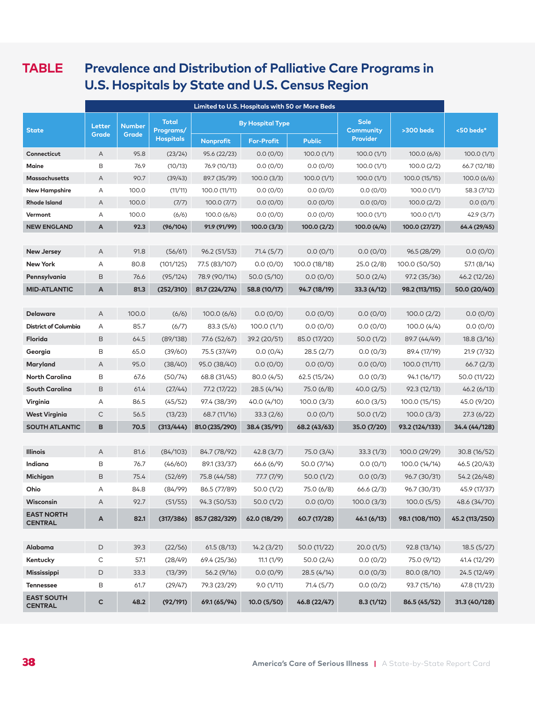## **TABLE Prevalence and Distribution of Palliative Care Programs in U.S. Hospitals by State and U.S. Census Region**

|                                             | Limited to U.S. Hospitals with 50 or More Beds |                        |                                               |                          |                         |                      |                                                    |                          |                         |
|---------------------------------------------|------------------------------------------------|------------------------|-----------------------------------------------|--------------------------|-------------------------|----------------------|----------------------------------------------------|--------------------------|-------------------------|
| <b>State</b>                                | Letter<br>Grade                                | <b>Number</b><br>Grade | <b>Total</b><br>Programs/<br><b>Hospitals</b> |                          | <b>By Hospital Type</b> |                      | <b>Sole</b><br><b>Community</b><br><b>Provider</b> | >300 beds                | <50 beds*               |
|                                             |                                                |                        |                                               | Nonprofit                | <b>For-Profit</b>       | <b>Public</b>        |                                                    |                          |                         |
| Connecticut                                 | Α                                              | 95.8                   | (23/24)                                       | 95.6 (22/23)             | 0.0(0/0)                | 100.0(1/1)           | 100.0(1/1)                                         | 100.0(6/6)               | 100.0(1/1)              |
| Maine                                       | B                                              | 76.9                   | (10/13)                                       | 76.9 (10/13)             | 0.0(0/0)                | 0.0(0/0)             | 100.0(1/1)                                         | 100.0(2/2)               | 66.7 (12/18)            |
| <b>Massachusetts</b>                        | Α                                              | 90.7<br>100.0          | (39/43)<br>(11/11)                            | 89.7 (35/39)             | 100.0(3/3)              | 100.0(1/1)           | 100.0(1/1)                                         | 100.0 (15/15)            | 100.0 (6/6)             |
| <b>New Hampshire</b><br><b>Rhode Island</b> | Α<br>Α                                         | 100.0                  |                                               | 100.0 (11/11)            | 0.0(0/0)                | 0.0(0/0)             | 0.0(0/0)                                           | 100.0(1/1)               | 58.3 (7/12)<br>0.0(0/1) |
| Vermont                                     | Α                                              | 100.0                  | (7/7)<br>(6/6)                                | 100.0(7/7)<br>100.0(6/6) | 0.0(0/0)<br>0.0(0/0)    | 0.0(0/0)<br>0.0(0/0) | 0.0(0/0)<br>100.0(1/1)                             | 100.0(2/2)<br>100.0(1/1) | 42.9(3/7)               |
| <b>NEW ENGLAND</b>                          | A                                              | 92.3                   | (96/104)                                      | 91.9 (91/99)             | 100.0(3/3)              | 100.0 (2/2)          | 100.0 (4/4)                                        | 100.0 (27/27)            | 64.4 (29/45)            |
|                                             |                                                |                        |                                               |                          |                         |                      |                                                    |                          |                         |
| <b>New Jersey</b>                           | A                                              | 91.8                   | (56/61)                                       | 96.2 (51/53)             | 71.4(5/7)               | 0.0(0/1)             | 0.0(0/0)                                           | 96.5 (28/29)             | 0.0(0/0)                |
| <b>New York</b>                             | Α                                              | 80.8                   | (101/125)                                     | 77.5 (83/107)            | 0.0(0/0)                | 100.0 (18/18)        | 25.0 (2/8)                                         | 100.0 (50/50)            | 57.1 (8/14)             |
| Pennsylvania                                | B                                              | 76.6                   | (95/124)                                      | 78.9 (90/114)            | 50.0 (5/10)             | 0.0(0/0)             | 50.0(2/4)                                          | 97.2 (35/36)             | 46.2 (12/26)            |
| <b>MID-ATLANTIC</b>                         | A                                              | 81.3                   | (252/310)                                     | 81.7 (224/274)           | 58.8 (10/17)            | 94.7 (18/19)         | 33.3(4/12)                                         | 98.2 (113/115)           | 50.0 (20/40)            |
|                                             |                                                |                        |                                               |                          |                         |                      |                                                    |                          |                         |
| <b>Delaware</b>                             | A                                              | 100.0                  | (6/6)                                         | 100.0(6/6)               | 0.0(0/0)                | 0.0(0/0)             | 0.0(0/0)                                           | 100.0(2/2)               | 0.0(0/0)                |
| <b>District of Columbia</b>                 | Α                                              | 85.7                   | (6/7)                                         | 83.3(5/6)                | 100.0(1/1)              | 0.0(0/0)             | 0.0(0/0)                                           | 100.0(4/4)               | 0.0(0/0)                |
| Florida                                     | B                                              | 64.5                   | (89/138)                                      | 77.6 (52/67)             | 39.2 (20/51)            | 85.0 (17/20)         | 50.0 (1/2)                                         | 89.7 (44/49)             | 18.8(3/16)              |
| Georgia                                     | B                                              | 65.0                   | (39/60)                                       | 75.5 (37/49)             | 0.0(0/4)                | 28.5 (2/7)           | 0.0(0/3)                                           | 89.4 (17/19)             | 21.9(7/32)              |
| Maryland                                    | A                                              | 95.0                   | (38/40)                                       | 95.0 (38/40)             | 0.0(0/0)                | 0.0(0/0)             | 0.0(0/0)                                           | 100.0 (11/11)            | 66.7(2/3)               |
| North Carolina                              | B                                              | 67.6                   | (50/74)                                       | 68.8 (31/45)             | 80.0(4/5)               | 62.5(15/24)          | 0.0(0/3)                                           | 94.1 (16/17)             | 50.0 (11/22)            |
| South Carolina                              | $\,$ B                                         | 61.4                   | (27/44)                                       | 77.2 (17/22)             | 28.5 (4/14)             | 75.0 (6/8)           | 40.0(2/5)                                          | 92.3 (12/13)             | 46.2(6/13)              |
| Virginia                                    | Α                                              | 86.5                   | (45/52)                                       | 97.4 (38/39)             | 40.0 (4/10)             | 100.0(3/3)           | 60.0(3/5)                                          | 100.0 (15/15)            | 45.0 (9/20)             |
| <b>West Virginia</b>                        | C                                              | 56.5                   | (13/23)                                       | 68.7 (11/16)             | 33.3(2/6)               | 0.0(0/1)             | 50.0(1/2)                                          | 100.0(3/3)               | 27.3 (6/22)             |
| <b>SOUTH ATLANTIC</b>                       | B                                              | 70.5                   | (313/444)                                     | 81.0 (235/290)           | 38.4 (35/91)            | 68.2 (43/63)         | 35.0 (7/20)                                        | 93.2 (124/133)           | 34.4 (44/128)           |
|                                             |                                                |                        |                                               |                          |                         |                      |                                                    |                          |                         |
| <b>Illinois</b>                             | A                                              | 81.6                   | (84/103)                                      | 84.7 (78/92)             | 42.8(3/7)               | 75.0 (3/4)           | 33.3(1/3)                                          | 100.0 (29/29)            | 30.8 (16/52)            |
| Indiana                                     | В                                              | 76.7                   | (46/60)                                       | 89.1 (33/37)             | 66.6 (6/9)              | 50.0 (7/14)          | 0.0(0/1)                                           | 100.0 (14/14)            | 46.5 (20/43)            |
| Michigan                                    | B                                              | 75.4                   | (52/69)                                       | 75.8 (44/58)             | 77.7(7/9)               | 50.0(1/2)            | 0.0(0/3)                                           | 96.7 (30/31)             | 54.2 (26/48)            |
| Ohio                                        | Α                                              | 84.8                   | (84/99)                                       | 86.5 (77/89)             | 50.0 (1/2)              | 75.0 (6/8)           | 66.6(2/3)                                          | 96.7 (30/31)             | 45.9 (17/37)            |
| Wisconsin                                   | Α                                              | 92.7                   | (51/55)                                       | 94.3 (50/53)             | 50.0 (1/2)              | 0.0(0/0)             | 100.0(3/3)                                         | 100.0(5/5)               | 48.6 (34/70)            |
| <b>EAST NORTH</b><br><b>CENTRAL</b>         | A                                              | 82.1                   | (317/386)                                     | 85.7 (282/329)           | 62.0 (18/29)            | 60.7 (17/28)         | 46.1 (6/13)                                        | 98.1 (108/110)           | 45.2 (113/250)          |
|                                             |                                                |                        |                                               |                          |                         |                      |                                                    |                          |                         |
| Alabama                                     | $\mathsf D$                                    | 39.3                   | (22/56)                                       | 61.5(8/13)               | 14.2(3/21)              | 50.0 (11/22)         | 20.0(1/5)                                          | 92.8 (13/14)             | 18.5(5/27)              |
| Kentucky                                    | С                                              | 57.1                   | (28/49)                                       | 69.4 (25/36)             | 11.1(1/9)               | 50.0(2/4)            | 0.0(0/2)                                           | 75.0 (9/12)              | 41.4 (12/29)            |
| Mississippi                                 | D                                              | 33.3                   | (13/39)                                       | 56.2 (9/16)              | 0.0(0/9)                | 28.5 (4/14)          | 0.0(0/3)                                           | 80.0 (8/10)              | 24.5 (12/49)            |
| <b>Tennessee</b>                            | В                                              | 61.7                   | (29/47)                                       | 79.3 (23/29)             | 9.0(1/11)               | 71.4 (5/7)           | 0.0(0/2)                                           | 93.7 (15/16)             | 47.8 (11/23)            |
| <b>EAST SOUTH</b><br><b>CENTRAL</b>         | c                                              | 48.2                   | (92/191)                                      | 69.1 (65/94)             | 10.0 (5/50)             | 46.8 (22/47)         | 8.3(1/12)                                          | 86.5 (45/52)             | 31.3 (40/128)           |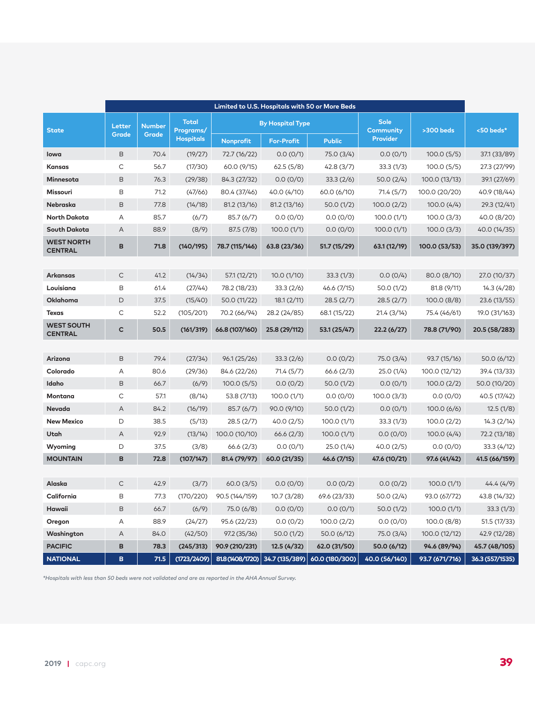|                                     | Limited to U.S. Hospitals with 50 or More Beds |                        |                                               |                  |                                              |                |                                             |                |                 |
|-------------------------------------|------------------------------------------------|------------------------|-----------------------------------------------|------------------|----------------------------------------------|----------------|---------------------------------------------|----------------|-----------------|
| <b>State</b>                        | Letter<br>Grade                                | <b>Number</b><br>Grade | <b>Total</b><br>Programs/<br><b>Hospitals</b> | Nonprofit        | <b>By Hospital Type</b><br><b>For-Profit</b> | <b>Public</b>  | <b>Sole</b><br>Community<br><b>Provider</b> | >300 beds      | <50 beds*       |
| lowa                                | B                                              | 70.4                   | (19/27)                                       | 72.7 (16/22)     | 0.0(0/1)                                     | 75.0 (3/4)     | 0.0(0/1)                                    | 100.0(5/5)     | 37.1 (33/89)    |
| Kansas                              | C                                              | 56.7                   | (17/30)                                       | 60.0 (9/15)      | 62.5(5/8)                                    | 42.8(3/7)      | 33.3(1/3)                                   | 100.0(5/5)     | 27.3 (27/99)    |
| Minnesota                           | $\mathsf B$                                    | 76.3                   | (29/38)                                       | 84.3 (27/32)     | 0.0(0/0)                                     | 33.3(2/6)      | 50.0(2/4)                                   | 100.0 (13/13)  | 39.1 (27/69)    |
| Missouri                            | B                                              | 71.2                   | (47/66)                                       | 80.4 (37/46)     | 40.0 (4/10)                                  | 60.0 (6/10)    | 71.4(5/7)                                   | 100.0 (20/20)  | 40.9 (18/44)    |
| Nebraska                            | $\mathsf B$                                    | 77.8                   | (14/18)                                       | 81.2(13/16)      | 81.2 (13/16)                                 | 50.0(1/2)      | 100.0(2/2)                                  | 100.0(4/4)     | 29.3 (12/41)    |
| <b>North Dakota</b>                 | А                                              | 85.7                   | (6/7)                                         | 85.7(6/7)        | 0.0(0/0)                                     | 0.0(0/0)       | 100.0(1/1)                                  | 100.0(3/3)     | 40.0 (8/20)     |
| South Dakota                        | Α                                              | 88.9                   | (8/9)                                         | 87.5(7/8)        | 100.0(1/1)                                   | 0.0(0/0)       | 100.0(1/1)                                  | 100.0(3/3)     | 40.0 (14/35)    |
| <b>WEST NORTH</b><br><b>CENTRAL</b> | В                                              | 71.8                   | (140/195)                                     | 78.7 (115/146)   | 63.8 (23/36)                                 | 51.7 (15/29)   | 63.1 (12/19)                                | 100.0 (53/53)  | 35.0 (139/397)  |
|                                     |                                                |                        |                                               |                  |                                              |                |                                             |                |                 |
| Arkansas                            | $\mathsf C$                                    | 41.2                   | (14/34)                                       | 57.1 (12/21)     | 10.0(1/10)                                   | 33.3(1/3)      | 0.0(0/4)                                    | 80.0 (8/10)    | 27.0 (10/37)    |
| Louisiana                           | B                                              | 61.4                   | (27/44)                                       | 78.2 (18/23)     | 33.3(2/6)                                    | 46.6 (7/15)    | 50.0(1/2)                                   | 81.8 (9/11)    | 14.3(4/28)      |
| Oklahoma                            | D                                              | 37.5                   | (15/40)                                       | 50.0 (11/22)     | 18.1(2/11)                                   | 28.5(2/7)      | 28.5(2/7)                                   | 100.0(8/8)     | 23.6 (13/55)    |
| <b>Texas</b>                        | C                                              | 52.2                   | (105/201)                                     | 70.2 (66/94)     | 28.2 (24/85)                                 | 68.1 (15/22)   | 21.4(3/14)                                  | 75.4 (46/61)   | 19.0 (31/163)   |
| <b>WEST SOUTH</b><br><b>CENTRAL</b> | C                                              | 50.5                   | (161/319)                                     | 66.8 (107/160)   | 25.8 (29/112)                                | 53.1 (25/47)   | 22.2(6/27)                                  | 78.8 (71/90)   | 20.5 (58/283)   |
|                                     |                                                |                        |                                               |                  |                                              |                |                                             |                |                 |
| Arizona                             | B                                              | 79.4                   | (27/34)                                       | 96.1 (25/26)     | 33.3(2/6)                                    | 0.0(0/2)       | 75.0 (3/4)                                  | 93.7 (15/16)   | 50.0(6/12)      |
| Colorado                            | Α                                              | 80.6                   | (29/36)                                       | 84.6 (22/26)     | 71.4 (5/7)                                   | 66.6(2/3)      | 25.0 (1/4)                                  | 100.0 (12/12)  | 39.4 (13/33)    |
| Idaho                               | $\mathsf B$                                    | 66.7                   | (6/9)                                         | 100.0(5/5)       | 0.0(0/2)                                     | 50.0(1/2)      | 0.0(0/1)                                    | 100.0(2/2)     | 50.0 (10/20)    |
| Montana                             | C                                              | 57.1                   | (8/14)                                        | 53.8 (7/13)      | 100.0(1/1)                                   | 0.0(0/0)       | 100.0(3/3)                                  | 0.0(0/0)       | 40.5 (17/42)    |
| <b>Nevada</b>                       | Α                                              | 84.2                   | (16/19)                                       | 85.7(6/7)        | 90.0 (9/10)                                  | 50.0(1/2)      | 0.0(0/1)                                    | 100.0(6/6)     | 12.5(1/8)       |
| <b>New Mexico</b>                   | D                                              | 38.5                   | (5/13)                                        | 28.5(2/7)        | 40.0(2/5)                                    | 100.0 (1/1)    | 33.3(1/3)                                   | 100.0(2/2)     | 14.3(2/14)      |
| Utah                                | Α                                              | 92.9                   | (13/14)                                       | 100.0 (10/10)    | 66.6(2/3)                                    | 100.0(1/1)     | 0.0(0/0)                                    | 100.0(4/4)     | 72.2 (13/18)    |
| Wyoming                             | D                                              | 37.5                   | (3/8)                                         | 66.6(2/3)        | 0.0(0/1)                                     | 25.0 (1/4)     | 40.0 (2/5)                                  | 0.0(0/0)       | 33.3 (4/12)     |
| <b>MOUNTAIN</b>                     | В                                              | 72.8                   | (107/147)                                     | 81.4 (79/97)     | 60.0 (21/35)                                 | 46.6 (7/15)    | 47.6 (10/21)                                | 97.6 (41/42)   | 41.5 (66/159)   |
| Alaska                              | $\mathsf C$                                    | 42.9                   | (3/7)                                         | 60.0(3/5)        | 0.0(0/0)                                     | 0.0(0/2)       | 0.0(0/2)                                    | 100.0(1/1)     | 44.4(4/9)       |
| California                          | B                                              | 77.3                   | (170/220)                                     | 90.5 (144/159)   | 10.7(3/28)                                   | 69.6 (23/33)   | 50.0(2/4)                                   | 93.0 (67/72)   | 43.8 (14/32)    |
| Hawaii                              | B                                              | 66.7                   | (6/9)                                         | 75.0 (6/8)       | 0.0(0/0)                                     | 0.0(0/1)       | 50.0(1/2)                                   | 100.0(1/1)     | 33.3(1/3)       |
| Oregon                              | Α                                              | 88.9                   | (24/27)                                       | 95.6 (22/23)     | 0.0(0/2)                                     | 100.0(2/2)     | 0.0(0/0)                                    | 100.0(8/8)     | 51.5 (17/33)    |
| Washington                          | A                                              | 84.0                   | (42/50)                                       | 97.2 (35/36)     | 50.0(1/2)                                    | 50.0(6/12)     | 75.0 (3/4)                                  | 100.0 (12/12)  | 42.9 (12/28)    |
| <b>PACIFIC</b>                      | В                                              | 78.3                   | (245/313)                                     | 90.9 (210/231)   | 12.5 (4/32)                                  | 62.0 (31/50)   | 50.0 (6/12)                                 | 94.6 (89/94)   | 45.7 (48/105)   |
| <b>NATIONAL</b>                     | B                                              | 71.5                   | (1723/2409)                                   | 81.8 (1408/1720) | 34.7 (135/389)                               | 60.0 (180/300) | 40.0 (56/140)                               | 93.7 (671/716) | 36.3 (557/1535) |

*\*Hospitals with less than 50 beds were not validated and are as reported in the AHA Annual Survey.*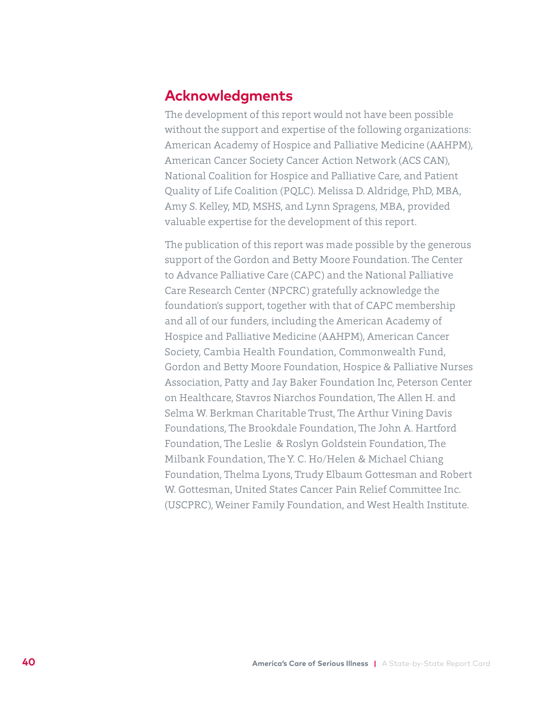## **Acknowledgments**

The development of this report would not have been possible without the support and expertise of the following organizations: American Academy of Hospice and Palliative Medicine (AAHPM), American Cancer Society Cancer Action Network (ACS CAN), National Coalition for Hospice and Palliative Care, and Patient Quality of Life Coalition (PQLC). Melissa D. Aldridge, PhD, MBA, Amy S. Kelley, MD, MSHS, and Lynn Spragens, MBA, provided valuable expertise for the development of this report.

The publication of this report was made possible by the generous support of the Gordon and Betty Moore Foundation. The Center to Advance Palliative Care (CAPC) and the National Palliative Care Research Center (NPCRC) gratefully acknowledge the foundation's support, together with that of CAPC membership and all of our funders, including the American Academy of Hospice and Palliative Medicine (AAHPM), American Cancer Society, Cambia Health Foundation, Commonwealth Fund, Gordon and Betty Moore Foundation, Hospice & Palliative Nurses Association, Patty and Jay Baker Foundation Inc, Peterson Center on Healthcare, Stavros Niarchos Foundation, The Allen H. and Selma W. Berkman Charitable Trust, The Arthur Vining Davis Foundations, The Brookdale Foundation, The John A. Hartford Foundation, The Leslie & Roslyn Goldstein Foundation, The Milbank Foundation, The Y. C. Ho/Helen & Michael Chiang Foundation, Thelma Lyons, Trudy Elbaum Gottesman and Robert W. Gottesman, United States Cancer Pain Relief Committee Inc. (USCPRC), Weiner Family Foundation, and West Health Institute.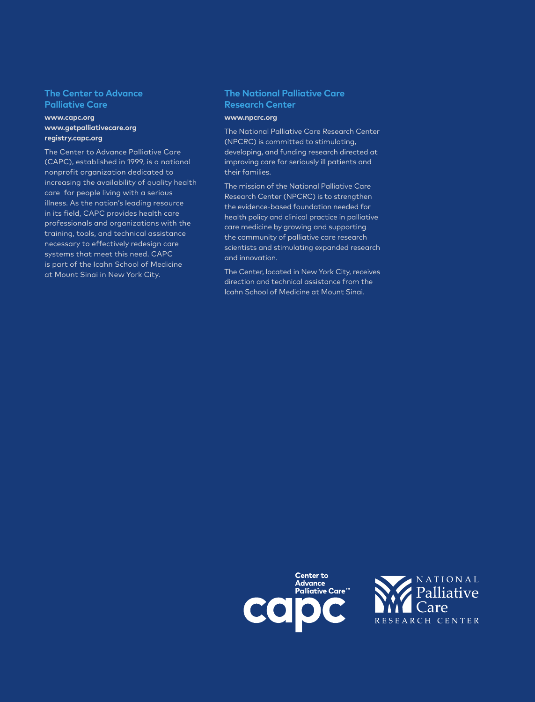#### **The Center to Advance Palliative Care**

#### **www.capc.org www.getpalliativecare.org [registry.capc.org](http://registry.capc.org)**

The Center to Advance Palliative Care (CAPC), established in 1999, is a national nonprofit organization dedicated to increasing the availability of quality health care for people living with a serious illness. As the nation's leading resource in its field, CAPC provides health care professionals and organizations with the training, tools, and technical assistance necessary to effectively redesign care systems that meet this need. CAPC is part of the Icahn School of Medicine at Mount Sinai in New York City.

#### **The National Palliative Care Research Center**

#### **www.npcrc.org**

The National Palliative Care Research Center (NPCRC) is committed to stimulating, developing, and funding research directed at improving care for seriously ill patients and their families.

The mission of the National Palliative Care Research Center (NPCRC) is to strengthen the evidence-based foundation needed for health policy and clinical practice in palliative care medicine by growing and supporting the community of palliative care research scientists and stimulating expanded research and innovation.

The Center, located in New York City, receives direction and technical assistance from the Icahn School of Medicine at Mount Sinai.

![](_page_42_Picture_8.jpeg)

![](_page_42_Picture_9.jpeg)